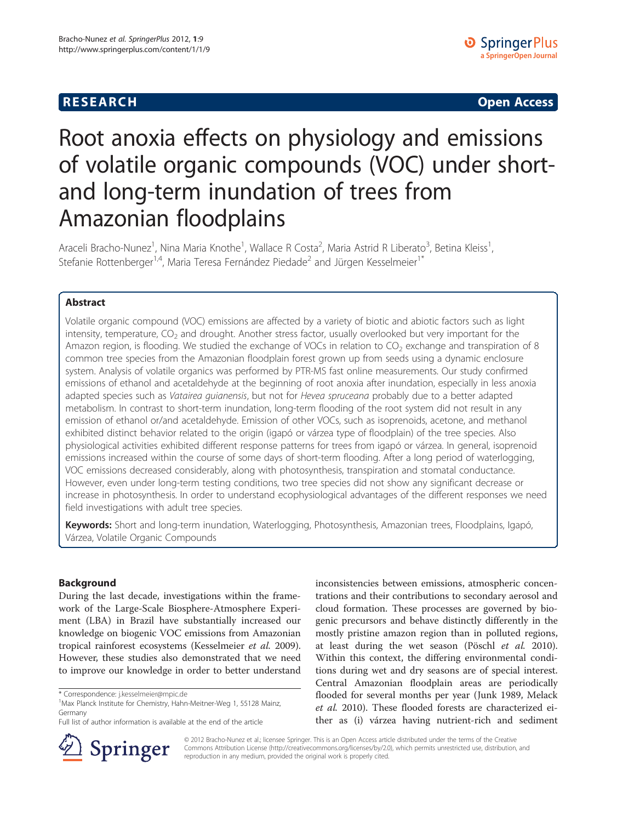# **RESEARCH CHINESE ARCH CHINESE ARCH CHINESE ARCH <b>CHINESE ARCH**

# Root anoxia effects on physiology and emissions of volatile organic compounds (VOC) under shortand long-term inundation of trees from Amazonian floodplains

Araceli Bracho-Nunez<sup>1</sup>, Nina Maria Knothe<sup>1</sup>, Wallace R Costa<sup>2</sup>, Maria Astrid R Liberato<sup>3</sup>, Betina Kleiss<sup>1</sup> , Stefanie Rottenberger<sup>1,4</sup>, Maria Teresa Fernández Piedade<sup>2</sup> and Jürgen Kesselmeier<sup>1\*</sup>

# Abstract

Volatile organic compound (VOC) emissions are affected by a variety of biotic and abiotic factors such as light intensity, temperature,  $CO<sub>2</sub>$  and drought. Another stress factor, usually overlooked but very important for the Amazon region, is flooding. We studied the exchange of VOCs in relation to  $CO<sub>2</sub>$  exchange and transpiration of 8 common tree species from the Amazonian floodplain forest grown up from seeds using a dynamic enclosure system. Analysis of volatile organics was performed by PTR-MS fast online measurements. Our study confirmed emissions of ethanol and acetaldehyde at the beginning of root anoxia after inundation, especially in less anoxia adapted species such as Vatairea quianensis, but not for Hevea spruceana probably due to a better adapted metabolism. In contrast to short-term inundation, long-term flooding of the root system did not result in any emission of ethanol or/and acetaldehyde. Emission of other VOCs, such as isoprenoids, acetone, and methanol exhibited distinct behavior related to the origin (igapó or várzea type of floodplain) of the tree species. Also physiological activities exhibited different response patterns for trees from igapó or várzea. In general, isoprenoid emissions increased within the course of some days of short-term flooding. After a long period of waterlogging, VOC emissions decreased considerably, along with photosynthesis, transpiration and stomatal conductance. However, even under long-term testing conditions, two tree species did not show any significant decrease or increase in photosynthesis. In order to understand ecophysiological advantages of the different responses we need field investigations with adult tree species.

Keywords: Short and long-term inundation, Waterlogging, Photosynthesis, Amazonian trees, Floodplains, Igapó, Várzea, Volatile Organic Compounds

# Background

During the last decade, investigations within the framework of the Large-Scale Biosphere-Atmosphere Experiment (LBA) in Brazil have substantially increased our knowledge on biogenic VOC emissions from Amazonian tropical rainforest ecosystems (Kesselmeier et al. [2009](#page-13-0)). However, these studies also demonstrated that we need to improve our knowledge in order to better understand

Full list of author information is available at the end of the article



inconsistencies between emissions, atmospheric concentrations and their contributions to secondary aerosol and cloud formation. These processes are governed by biogenic precursors and behave distinctly differently in the mostly pristine amazon region than in polluted regions, at least during the wet season (Pöschl et al. [2010](#page-14-0)). Within this context, the differing environmental conditions during wet and dry seasons are of special interest. Central Amazonian floodplain areas are periodically flooded for several months per year (Junk [1989](#page-13-0), Melack et al. [2010\)](#page-14-0). These flooded forests are characterized either as (i) várzea having nutrient-rich and sediment

© 2012 Bracho-Nunez et al.; licensee Springer. This is an Open Access article distributed under the terms of the Creative Commons Attribution License (<http://creativecommons.org/licenses/by/2.0>), which permits unrestricted use, distribution, and reproduction in any medium, provided the original work is properly cited.

<sup>\*</sup> Correspondence: [j.kesselmeier@mpic.de](mailto:j.kesselmeier@mpic.de) <sup>1</sup>

<sup>&</sup>lt;sup>1</sup>Max Planck Institute for Chemistry, Hahn-Meitner-Weg 1, 55128 Mainz, Germany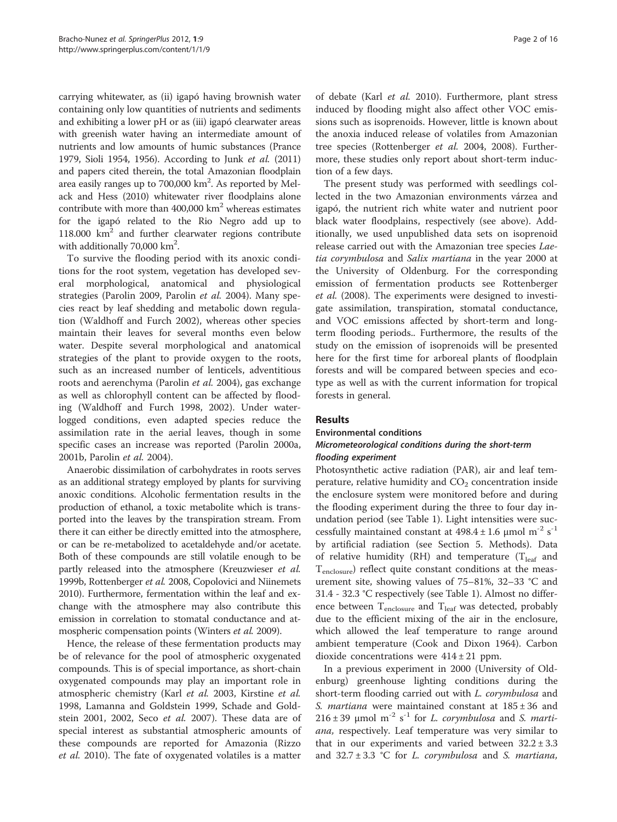carrying whitewater, as (ii) igapó having brownish water containing only low quantities of nutrients and sediments and exhibiting a lower pH or as (iii) igapó clearwater areas with greenish water having an intermediate amount of nutrients and low amounts of humic substances (Prance [1979,](#page-14-0) Sioli [1954](#page-15-0), [1956\)](#page-15-0). According to Junk et al. [\(2011](#page-13-0)) and papers cited therein, the total Amazonian floodplain area easily ranges up to 700,000  $\rm km^2$ . As reported by Melack and Hess [\(2010\)](#page-14-0) whitewater river floodplains alone contribute with more than  $400,000$  km<sup>2</sup> whereas estimates for the igapó related to the Rio Negro add up to 118.000  $km<sup>2</sup>$  and further clearwater regions contribute with additionally 70,000  $\text{km}^2$ .

To survive the flooding period with its anoxic conditions for the root system, vegetation has developed several morphological, anatomical and physiological strategies (Parolin [2009](#page-14-0), Parolin et al. [2004\)](#page-14-0). Many species react by leaf shedding and metabolic down regulation (Waldhoff and Furch [2002\)](#page-15-0), whereas other species maintain their leaves for several months even below water. Despite several morphological and anatomical strategies of the plant to provide oxygen to the roots, such as an increased number of lenticels, adventitious roots and aerenchyma (Parolin et al. [2004\)](#page-14-0), gas exchange as well as chlorophyll content can be affected by flooding (Waldhoff and Furch [1998](#page-15-0), [2002](#page-15-0)). Under waterlogged conditions, even adapted species reduce the assimilation rate in the aerial leaves, though in some specific cases an increase was reported (Parolin [2000a](#page-14-0), [2001b](#page-14-0), Parolin et al. [2004\)](#page-14-0).

Anaerobic dissimilation of carbohydrates in roots serves as an additional strategy employed by plants for surviving anoxic conditions. Alcoholic fermentation results in the production of ethanol, a toxic metabolite which is transported into the leaves by the transpiration stream. From there it can either be directly emitted into the atmosphere, or can be re-metabolized to acetaldehyde and/or acetate. Both of these compounds are still volatile enough to be partly released into the atmosphere (Kreuzwieser et al. [1999b](#page-14-0), Rottenberger et al. [2008,](#page-14-0) Copolovici and Niinemets [2010\)](#page-13-0). Furthermore, fermentation within the leaf and exchange with the atmosphere may also contribute this emission in correlation to stomatal conductance and atmospheric compensation points (Winters *et al.* [2009\)](#page-15-0).

Hence, the release of these fermentation products may be of relevance for the pool of atmospheric oxygenated compounds. This is of special importance, as short-chain oxygenated compounds may play an important role in atmospheric chemistry (Karl et al. [2003,](#page-13-0) Kirstine et al. [1998](#page-14-0), Lamanna and Goldstein [1999,](#page-14-0) Schade and Goldstein [2001](#page-14-0), [2002,](#page-14-0) Seco et al. [2007](#page-14-0)). These data are of special interest as substantial atmospheric amounts of these compounds are reported for Amazonia (Rizzo et al. [2010\)](#page-14-0). The fate of oxygenated volatiles is a matter of debate (Karl et al. [2010](#page-13-0)). Furthermore, plant stress induced by flooding might also affect other VOC emissions such as isoprenoids. However, little is known about the anoxia induced release of volatiles from Amazonian tree species (Rottenberger et al. [2004](#page-14-0), [2008](#page-14-0)). Furthermore, these studies only report about short-term induction of a few days.

The present study was performed with seedlings collected in the two Amazonian environments várzea and igapó, the nutrient rich white water and nutrient poor black water floodplains, respectively (see above). Additionally, we used unpublished data sets on isoprenoid release carried out with the Amazonian tree species Laetia corymbulosa and Salix martiana in the year 2000 at the University of Oldenburg. For the corresponding emission of fermentation products see Rottenberger et al. ([2008](#page-14-0)). The experiments were designed to investigate assimilation, transpiration, stomatal conductance, and VOC emissions affected by short-term and longterm flooding periods.. Furthermore, the results of the study on the emission of isoprenoids will be presented here for the first time for arboreal plants of floodplain forests and will be compared between species and ecotype as well as with the current information for tropical forests in general.

# Results

## Environmental conditions

# Micrometeorological conditions during the short-term flooding experiment

Photosynthetic active radiation (PAR), air and leaf temperature, relative humidity and  $CO<sub>2</sub>$  concentration inside the enclosure system were monitored before and during the flooding experiment during the three to four day inundation period (see Table [1](#page-2-0)). Light intensities were successfully maintained constant at  $498.4 \pm 1.6$  µmol m<sup>-2</sup> s<sup>-1</sup> by artificial radiation (see Section 5. Methods). Data of relative humidity (RH) and temperature  $(T_{leaf}$  and Tenclosure) reflect quite constant conditions at the measurement site, showing values of 75–81%, 32–33 °C and 31.4 - 32.3 °C respectively (see Table [1\)](#page-2-0). Almost no difference between  $T_{enclosure}$  and  $T_{leaf}$  was detected, probably due to the efficient mixing of the air in the enclosure, which allowed the leaf temperature to range around ambient temperature (Cook and Dixon [1964\)](#page-13-0). Carbon dioxide concentrations were  $414 \pm 21$  ppm.

In a previous experiment in 2000 (University of Oldenburg) greenhouse lighting conditions during the short-term flooding carried out with L. corymbulosa and S. martiana were maintained constant at  $185 \pm 36$  and  $216 \pm 39$  µmol m<sup>-2</sup> s<sup>-1</sup> for *L. corymbulosa* and *S. marti*ana, respectively. Leaf temperature was very similar to that in our experiments and varied between  $32.2 \pm 3.3$ and  $32.7 \pm 3.3$  °C for *L. corymbulosa* and *S. martiana*,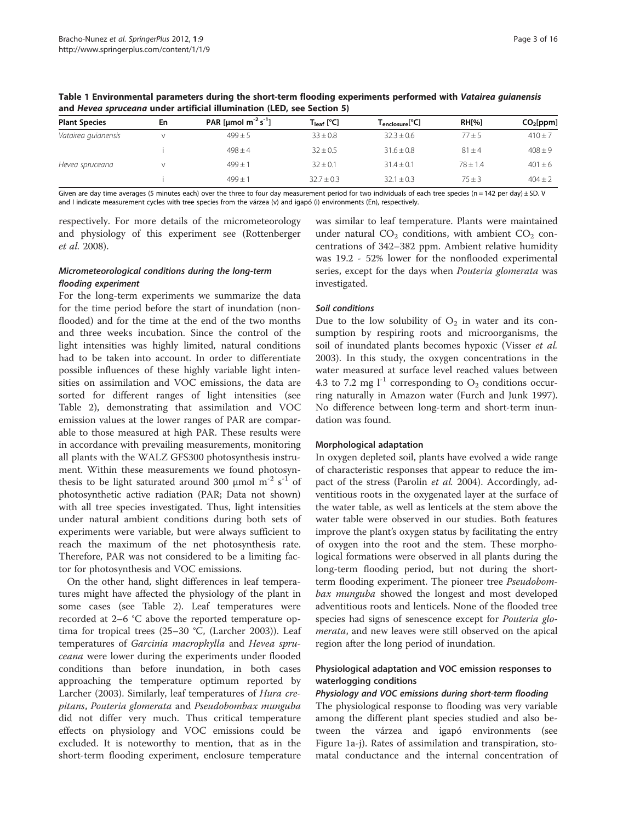| <b>Plant Species</b> | En | PAR [µmol m <sup>-2</sup> s <sup>-1</sup> ] | $T_{leaf}$ [°C] | $\mathsf{T}_{\mathsf{enclosure}}[^{\circ}\mathsf{C}]$ | <b>RH[%]</b> | CO <sub>2</sub> [ppm] |
|----------------------|----|---------------------------------------------|-----------------|-------------------------------------------------------|--------------|-----------------------|
| Vatairea guianensis  |    | $499 \pm 5$                                 | $33 \pm 0.8$    | $32.3 + 0.6$                                          | 77 ± 5       | $410 \pm 7$           |
|                      |    | $498 + 4$                                   | $32 + 0.5$      | $31.6 + 0.8$                                          | $81 + 4$     | $408 \pm 9$           |
| Hevea spruceana      |    | $499 + 1$                                   | $32 + 0.1$      | $31.4 + 0.1$                                          | $78 + 1.4$   | $401 + 6$             |
|                      |    | $499 + 1$                                   | $32.7 \pm 0.3$  | $32.1 \pm 0.3$                                        | $75 + 3$     | $404 \pm 2$           |

<span id="page-2-0"></span>Table 1 Environmental parameters during the short-term flooding experiments performed with Vatairea guianensis and Hevea spruceana under artificial illumination (LED, see Section 5)

Given are day time averages (5 minutes each) over the three to four day measurement period for two individuals of each tree species (n = 142 per day) ± SD. V and I indicate measurement cycles with tree species from the várzea (v) and igapó (i) environments (En), respectively.

respectively. For more details of the micrometeorology and physiology of this experiment see (Rottenberger et al. [2008\)](#page-14-0).

# Micrometeorological conditions during the long-term flooding experiment

For the long-term experiments we summarize the data for the time period before the start of inundation (nonflooded) and for the time at the end of the two months and three weeks incubation. Since the control of the light intensities was highly limited, natural conditions had to be taken into account. In order to differentiate possible influences of these highly variable light intensities on assimilation and VOC emissions, the data are sorted for different ranges of light intensities (see Table [2\)](#page-3-0), demonstrating that assimilation and VOC emission values at the lower ranges of PAR are comparable to those measured at high PAR. These results were in accordance with prevailing measurements, monitoring all plants with the WALZ GFS300 photosynthesis instrument. Within these measurements we found photosynthesis to be light saturated around 300  $\mu$ mol m<sup>-2</sup> s<sup>-1</sup> of photosynthetic active radiation (PAR; Data not shown) with all tree species investigated. Thus, light intensities under natural ambient conditions during both sets of experiments were variable, but were always sufficient to reach the maximum of the net photosynthesis rate. Therefore, PAR was not considered to be a limiting factor for photosynthesis and VOC emissions.

On the other hand, slight differences in leaf temperatures might have affected the physiology of the plant in some cases (see Table [2\)](#page-3-0). Leaf temperatures were recorded at 2–6 °C above the reported temperature optima for tropical trees (25–30 °C, (Larcher [2003\)](#page-14-0)). Leaf temperatures of Garcinia macrophylla and Hevea spruceana were lower during the experiments under flooded conditions than before inundation, in both cases approaching the temperature optimum reported by Larcher ([2003](#page-14-0)). Similarly, leaf temperatures of Hura crepitans, Pouteria glomerata and Pseudobombax munguba did not differ very much. Thus critical temperature effects on physiology and VOC emissions could be excluded. It is noteworthy to mention, that as in the short-term flooding experiment, enclosure temperature

was similar to leaf temperature. Plants were maintained under natural  $CO<sub>2</sub>$  conditions, with ambient  $CO<sub>2</sub>$  concentrations of 342–382 ppm. Ambient relative humidity was 19.2 - 52% lower for the nonflooded experimental series, except for the days when Pouteria glomerata was investigated.

# Soil conditions

Due to the low solubility of  $O_2$  in water and its consumption by respiring roots and microorganisms, the soil of inundated plants becomes hypoxic (Visser et al. [2003](#page-15-0)). In this study, the oxygen concentrations in the water measured at surface level reached values between 4.3 to 7.2 mg  $l^{-1}$  corresponding to  $O_2$  conditions occurring naturally in Amazon water (Furch and Junk [1997](#page-13-0)). No difference between long-term and short-term inundation was found.

# Morphological adaptation

In oxygen depleted soil, plants have evolved a wide range of characteristic responses that appear to reduce the im-pact of the stress (Parolin et al. [2004](#page-14-0)). Accordingly, adventitious roots in the oxygenated layer at the surface of the water table, as well as lenticels at the stem above the water table were observed in our studies. Both features improve the plant's oxygen status by facilitating the entry of oxygen into the root and the stem. These morphological formations were observed in all plants during the long-term flooding period, but not during the shortterm flooding experiment. The pioneer tree Pseudobombax munguba showed the longest and most developed adventitious roots and lenticels. None of the flooded tree species had signs of senescence except for *Pouteria glomerata*, and new leaves were still observed on the apical region after the long period of inundation.

# Physiological adaptation and VOC emission responses to waterlogging conditions

# Physiology and VOC emissions during short-term flooding

The physiological response to flooding was very variable among the different plant species studied and also between the várzea and igapó environments (see Figure [1a-j](#page-4-0)). Rates of assimilation and transpiration, stomatal conductance and the internal concentration of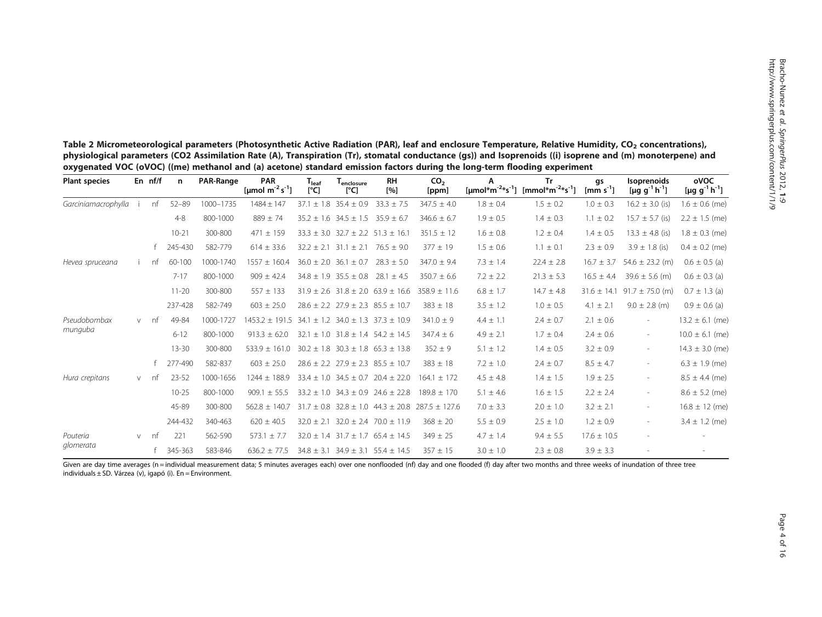| <b>Plant species</b>         |        | En nf/f   | n         | PAR-Range          | <b>PAR</b><br>[µmol m <sup>-2</sup> s <sup>-1</sup> ] | $T_{\rm leaf}$<br>$[^{\circ}C]$ | Tenclosure<br>[°C]                            | <b>RH</b><br>[%]                              | CO <sub>2</sub><br>[ppm] | Α<br>[ $\mu$ mol*m <sup>-2</sup> *s <sup>-1</sup> ] | <b>Tr</b><br>$[mmol* m^{-2}* s^{-1}]$ | gs<br>$\left[\text{mm s}^{-1}\right]$ | <b>Isoprenoids</b><br>[ $\mu$ g g <sup>-1</sup> h <sup>-1</sup> ] | oVOC<br>[µg $g^{-1} h^{-1}$ ] |
|------------------------------|--------|-----------|-----------|--------------------|-------------------------------------------------------|---------------------------------|-----------------------------------------------|-----------------------------------------------|--------------------------|-----------------------------------------------------|---------------------------------------|---------------------------------------|-------------------------------------------------------------------|-------------------------------|
| Garciniamacrophylla          |        | nf        | $52 - 89$ | 1000-1735          | $1484 \pm 147$                                        |                                 | $37.1 \pm 1.8$ 35.4 $\pm$ 0.9                 | $33.3 \pm 7.5$                                | $347.5 \pm 4.0$          | $1.8 \pm 0.4$                                       | $1.5 \pm 0.2$                         | $1.0 \pm 0.3$                         | $16.2 \pm 3.0$ (is)                                               | $1.6 \pm 0.6$ (me)            |
|                              |        | $4 - 8$   | 800-1000  | $889 \pm 74$       |                                                       | $35.2 \pm 1.6$ 34.5 $\pm$ 1.5   | $35.9 \pm 6.7$                                | $346.6 \pm 6.7$                               | $1.9 \pm 0.5$            | $1.4 \pm 0.3$                                       | $1.1 \pm 0.2$                         | $15.7 \pm 5.7$ (is)                   | $2.2 \pm 1.5$ (me)                                                |                               |
|                              |        |           | $10 - 21$ | 300-800            | $471 \pm 159$                                         |                                 |                                               | $33.3 \pm 3.0$ $32.7 \pm 2.2$ $51.3 \pm 16.1$ | $351.5 \pm 12$           | $1.6 \pm 0.8$                                       | $1.2 \pm 0.4$                         | $1.4 \pm 0.5$                         | $13.3 \pm 4.8$ (is)                                               | $1.8 \pm 0.3$ (me)            |
|                              |        |           | 245-430   | 582-779            | $614 \pm 33.6$                                        |                                 | $32.2 \pm 2.1$ $31.1 \pm 2.1$                 | $76.5 \pm 9.0$                                | $377 \pm 19$             | $1.5 \pm 0.6$                                       | $1.1 \pm 0.1$                         | $2.3 \pm 0.9$                         | $3.9 \pm 1.8$ (is)                                                | $0.4 \pm 0.2$ (me)            |
| Hevea spruceana              |        | nf        | 60-100    | 1000-1740          | $1557 \pm 160.4$                                      |                                 | $36.0 \pm 2.0$ 36.1 $\pm$ 0.7                 | $28.3 \pm 5.0$                                | $347.0 \pm 9.4$          | $7.3 \pm 1.4$                                       | $22.4 \pm 2.8$                        | $16.7 \pm 3.7$                        | $54.6 \pm 23.2$ (m)                                               | $0.6 \pm 0.5$ (a)             |
|                              |        |           | $7 - 17$  | 800-1000           | $909 \pm 42.4$                                        |                                 |                                               | $34.8 \pm 1.9$ 35.5 $\pm$ 0.8 28.1 $\pm$ 4.5  | $350.7 \pm 6.6$          | $7.2 \pm 2.2$                                       | $21.3 \pm 5.3$                        | $16.5 \pm 4.4$                        | $39.6 \pm 5.6$ (m)                                                | $0.6 \pm 0.3$ (a)             |
|                              |        | $11 - 20$ | 300-800   | $557 \pm 133$      |                                                       |                                 | $31.9 \pm 2.6$ $31.8 \pm 2.0$ $63.9 \pm 16.6$ | $358.9 \pm 11.6$                              | $6.8 \pm 1.7$            | $14.7 \pm 4.8$                                      | $31.6 \pm 14.1$                       | $91.7 \pm 75.0$ (m)                   | $0.7 \pm 1.3$ (a)                                                 |                               |
|                              |        | 237-428   | 582-749   | $603 \pm 25.0$     |                                                       |                                 | $28.6 \pm 2.2$ 27.9 $\pm$ 2.3 85.5 $\pm$ 10.7 | $383 \pm 18$                                  | $3.5 \pm 1.2$            | $1.0 \pm 0.5$                                       | $4.1 \pm 2.1$                         | $9.0 \pm 2.8$ (m)                     | $0.9 \pm 0.6$ (a)                                                 |                               |
| Pseudobombax<br>V<br>munguba | nf     | 49-84     | 1000-1727 | $1453.2 \pm 191.5$ |                                                       |                                 | $34.1 \pm 1.2$ $34.0 \pm 1.3$ $37.3 \pm 10.9$ | $341.0 \pm 9$                                 | $4.4 \pm 1.1$            | $2.4 \pm 0.7$                                       | $2.1 \pm 0.6$                         |                                       | $13.2 \pm 6.1$ (me)                                               |                               |
|                              |        |           | $6 - 12$  | 800-1000           | $913.3 \pm 62.0$                                      |                                 |                                               | $32.1 \pm 1.0$ $31.8 \pm 1.4$ $54.2 \pm 14.5$ | $347.4 \pm 6$            | $4.9 \pm 2.1$                                       | $1.7 \pm 0.4$                         | $2.4 \pm 0.6$                         |                                                                   | $10.0 \pm 6.1$ (me)           |
|                              |        |           | $13 - 30$ | 300-800            | $533.9 \pm 161.0$                                     |                                 |                                               | $30.2 \pm 1.8$ $30.3 \pm 1.8$ $65.3 \pm 13.8$ | $352 \pm 9$              | $5.1 \pm 1.2$                                       | $1.4 \pm 0.5$                         | $3.2 \pm 0.9$                         | $\sim$                                                            | $14.3 \pm 3.0$ (me)           |
|                              |        |           | 277-490   | 582-837            | $603 \pm 25.0$                                        |                                 |                                               | $28.6 \pm 2.2$ $27.9 \pm 2.3$ $85.5 \pm 10.7$ | $383 \pm 18$             | $7.2 \pm 1.0$                                       | $2.4 \pm 0.7$                         | $8.5 \pm 4.7$                         |                                                                   | $6.3 \pm 1.9$ (me)            |
| Hura crepitans<br>V          | nf     | $23 - 52$ | 1000-1656 | $1244 \pm 188.9$   |                                                       |                                 | $33.4 \pm 1.0$ $34.5 \pm 0.7$ $20.4 \pm 22.0$ | $164.1 \pm 172$                               | $4.5 \pm 4.8$            | $1.4 \pm 1.5$                                       | $1.9 \pm 2.5$                         | $\sim$                                | $8.5 \pm 4.4$ (me)                                                |                               |
|                              |        |           | $10 - 25$ | 800-1000           | $909.1 \pm 55.5$                                      |                                 |                                               | $33.2 \pm 1.0$ $34.3 \pm 0.9$ $24.6 \pm 22.8$ | $189.8 \pm 170$          | $5.1 \pm 4.6$                                       | $1.6 \pm 1.5$                         | $2.2 \pm 2.4$                         | $\sim$                                                            | $8.6 \pm 5.2$ (me)            |
|                              |        |           | 45-89     | 300-800            | $562.8 \pm 140.7$                                     |                                 |                                               | $31.7 \pm 0.8$ 32.8 $\pm$ 1.0 44.3 $\pm$ 20.8 | $287.5 \pm 127.6$        | $7.0 \pm 3.3$                                       | $2.0 \pm 1.0$                         | $3.2 \pm 2.1$                         |                                                                   | $16.8 \pm 12$ (me)            |
|                              |        |           | 244-432   | 340-463            | $620 \pm 40.5$                                        |                                 |                                               | $32.0 \pm 2.1$ $32.0 \pm 2.4$ $70.0 \pm 11.9$ | $368 \pm 20$             | $5.5 \pm 0.9$                                       | $2.5 \pm 1.0$                         | $1.2 \pm 0.9$                         |                                                                   | $3.4 \pm 1.2$ (me)            |
| Pouteria                     | $\vee$ | nf        | 221       | 562-590            | $573.1 \pm 7.7$                                       |                                 |                                               | $32.0 \pm 1.4$ $31.7 \pm 1.7$ 65.4 $\pm$ 14.5 | $349 \pm 25$             | $4.7 \pm 1.4$                                       | $9.4 \pm 5.5$                         | $17.6 \pm 10.5$                       |                                                                   |                               |
| glomerata                    |        |           | 345-363   | 583-846            | $636.2 \pm 77.5$                                      |                                 |                                               | $34.8 \pm 3.1$ $34.9 \pm 3.1$ $55.4 \pm 14.5$ | $357 \pm 15$             | $3.0 \pm 1.0$                                       | $2.3 \pm 0.8$                         | $3.9 \pm 3.3$                         |                                                                   |                               |

<span id="page-3-0"></span>Table 2 Micrometeorological parameters (Photosynthetic Active Radiation (PAR), leaf and enclosure Temperature, Relative Humidity, CO<sub>2</sub> concentrations), physiological parameters (CO2 Assimilation Rate (A), Transpiration (Tr), stomatal conductance (gs)) and Isoprenoids ((i) isoprene and (m) monoterpene) and oxygenated VOC (oVOC) ((me) methanol and (a) acetone) standard emission factors during the long-term flooding experiment

Given are day time averages (n=individual measurement data; 5 minutes averages each) over one nonflooded (nf) day and one flooded (f) day after two months and three weeks of inundation of three tree individuals ± SD. Várzea (v), igapó (i). En = Environment.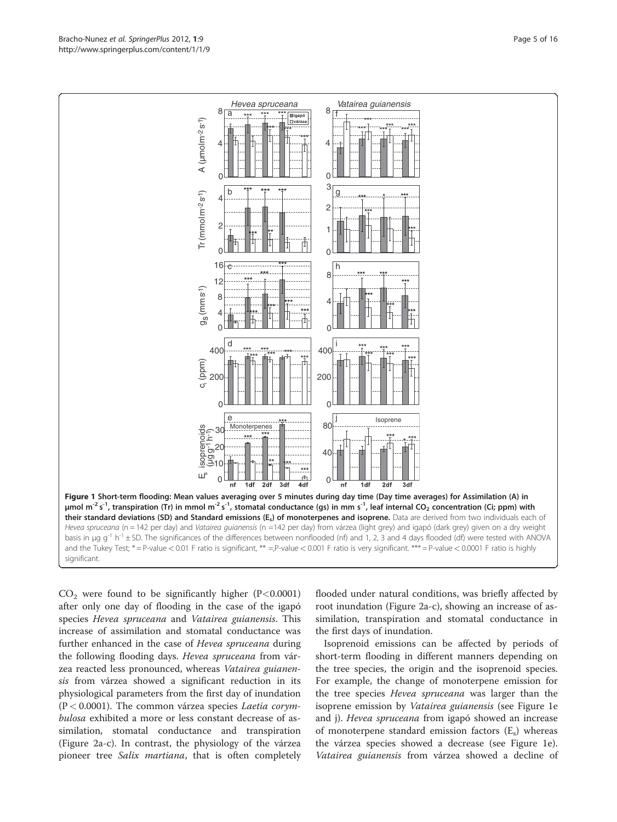$CO<sub>2</sub>$  were found to be significantly higher (P<0.0001) after only one day of flooding in the case of the igapó species Hevea spruceana and Vatairea guianensis. This increase of assimilation and stomatal conductance was further enhanced in the case of Hevea spruceana during the following flooding days. Hevea spruceana from várzea reacted less pronounced, whereas Vatairea guianensis from várzea showed a significant reduction in its physiological parameters from the first day of inundation  $(P < 0.0001)$ . The common várzea species *Laetia corym*bulosa exhibited a more or less constant decrease of assimilation, stomatal conductance and transpiration (Figure [2a-c](#page-5-0)). In contrast, the physiology of the várzea pioneer tree Salix martiana, that is often completely

flooded under natural conditions, was briefly affected by root inundation (Figure [2a-c\)](#page-5-0), showing an increase of assimilation, transpiration and stomatal conductance in the first days of inundation.

Isoprenoid emissions can be affected by periods of short-term flooding in different manners depending on the tree species, the origin and the isoprenoid species. For example, the change of monoterpene emission for the tree species Hevea spruceana was larger than the isoprene emission by Vatairea guianensis (see Figure 1e and j). Hevea spruceana from igapó showed an increase of monoterpene standard emission factors  $(E_s)$  whereas the várzea species showed a decrease (see Figure 1e). Vatairea guianensis from várzea showed a decline of

Figure 1 Short-term flooding: Mean values averaging over 5 minutes during day time (Day time averages) for Assimilation (A) in μmol m $^{-2}$  s $^{-1}$ , transpiration (Tr) in mmol m $^{-2}$  s $^{-1}$ , stomatal conductance (gs) in mm s $^{-1}$ , leaf internal CO<sub>2</sub> concentration (Ci; ppm) with their standard deviations (SD) and Standard emissions (E<sub>s</sub>) of monoterpenes and isoprene. Data are derived from two individuals each of Hevea spruceana (n = 142 per day) and Vatairea guianensis (n =142 per day) from várzea (light grey) and igapó (dark grey) given on a dry weight basis in  $\mu$ g g<sup>-1</sup> h<sup>-1</sup> ± SD. The significances of the differences between nonflooded (nf) and 1, 2, 3 and 4 days flooded (df) were tested with ANOVA and the Tukey Test; \* = P-value < 0.01 F ratio is significant, \*\* =,P-value < 0.001 F ratio is very significant. \*\*\* = P-value < 0.0001 F ratio is highly significant.

<span id="page-4-0"></span>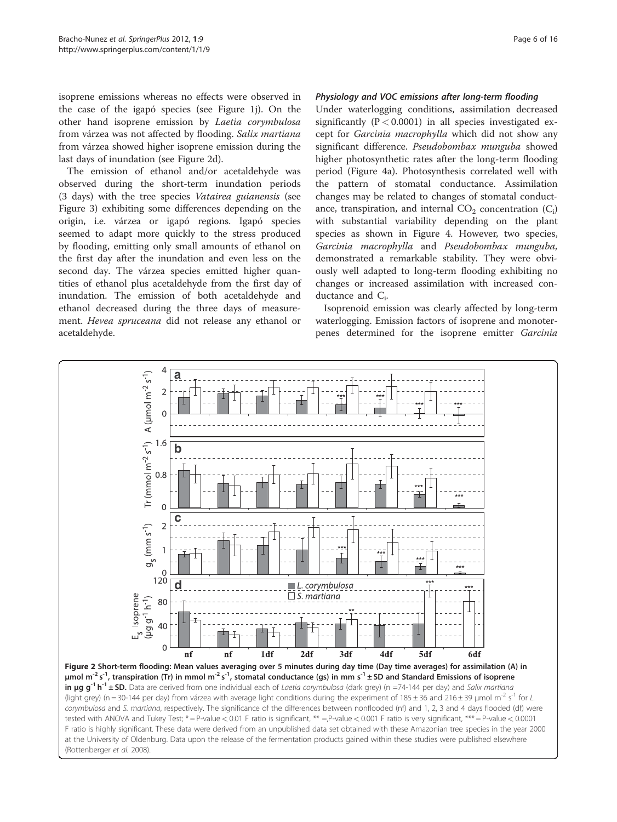<span id="page-5-0"></span>isoprene emissions whereas no effects were observed in the case of the igapó species (see Figure [1j\)](#page-4-0). On the other hand isoprene emission by Laetia corymbulosa from várzea was not affected by flooding. Salix martiana from várzea showed higher isoprene emission during the last days of inundation (see Figure 2d).

The emission of ethanol and/or acetaldehyde was observed during the short-term inundation periods (3 days) with the tree species Vatairea guianensis (see Figure [3](#page-6-0)) exhibiting some differences depending on the origin, i.e. várzea or igapó regions. Igapó species seemed to adapt more quickly to the stress produced by flooding, emitting only small amounts of ethanol on the first day after the inundation and even less on the second day. The várzea species emitted higher quantities of ethanol plus acetaldehyde from the first day of inundation. The emission of both acetaldehyde and ethanol decreased during the three days of measurement. Hevea spruceana did not release any ethanol or acetaldehyde.

# Physiology and VOC emissions after long-term flooding

Under waterlogging conditions, assimilation decreased significantly  $(P < 0.0001)$  in all species investigated except for Garcinia macrophylla which did not show any significant difference. Pseudobombax munguba showed higher photosynthetic rates after the long-term flooding period (Figure [4a](#page-8-0)). Photosynthesis correlated well with the pattern of stomatal conductance. Assimilation changes may be related to changes of stomatal conductance, transpiration, and internal  $CO<sub>2</sub>$  concentration  $(C<sub>i</sub>)$ with substantial variability depending on the plant species as shown in Figure [4](#page-8-0). However, two species, Garcinia macrophylla and Pseudobombax munguba, demonstrated a remarkable stability. They were obviously well adapted to long-term flooding exhibiting no changes or increased assimilation with increased conductance and Ci.

Isoprenoid emission was clearly affected by long-term waterlogging. Emission factors of isoprene and monoterpenes determined for the isoprene emitter Garcinia

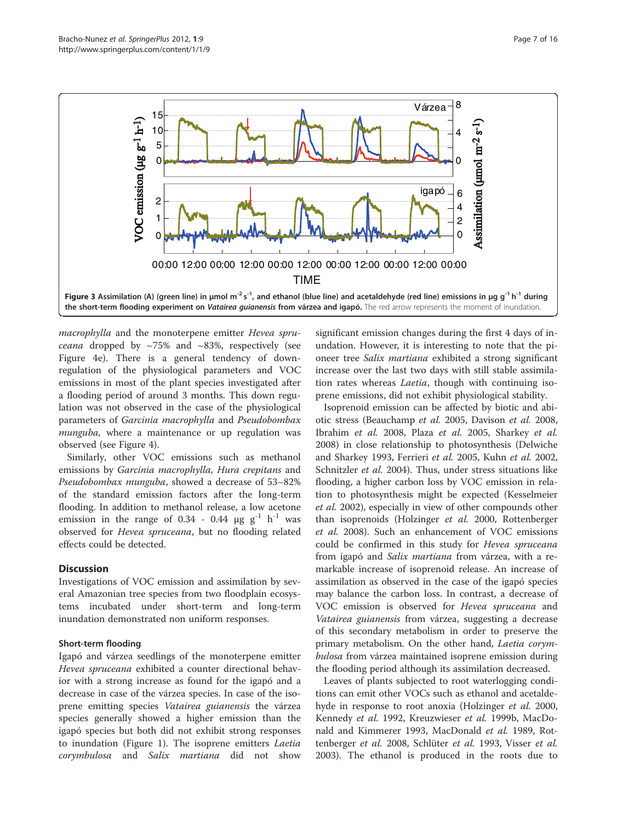<span id="page-6-0"></span>

macrophylla and the monoterpene emitter Hevea spruceana dropped by  $\sim$ 75% and  $\sim$ 83%, respectively (see Figure [4e](#page-8-0)). There is a general tendency of downregulation of the physiological parameters and VOC emissions in most of the plant species investigated after a flooding period of around 3 months. This down regulation was not observed in the case of the physiological parameters of Garcinia macrophylla and Pseudobombax munguba, where a maintenance or up regulation was observed (see Figure [4](#page-8-0)).

Similarly, other VOC emissions such as methanol emissions by Garcinia macrophylla, Hura crepitans and Pseudobombax munguba, showed a decrease of 53–82% of the standard emission factors after the long-term flooding. In addition to methanol release, a low acetone emission in the range of 0.34 - 0.44  $\mu$ g g<sup>-1</sup> h<sup>-1</sup> was observed for Hevea spruceana, but no flooding related effects could be detected.

## **Discussion**

Investigations of VOC emission and assimilation by several Amazonian tree species from two floodplain ecosystems incubated under short-term and long-term inundation demonstrated non uniform responses.

## Short-term flooding

Igapó and várzea seedlings of the monoterpene emitter Hevea spruceana exhibited a counter directional behavior with a strong increase as found for the igapó and a decrease in case of the várzea species. In case of the isoprene emitting species Vatairea guianensis the várzea species generally showed a higher emission than the igapó species but both did not exhibit strong responses to inundation (Figure [1](#page-4-0)). The isoprene emitters Laetia corymbulosa and Salix martiana did not show

significant emission changes during the first 4 days of inundation. However, it is interesting to note that the pioneer tree Salix martiana exhibited a strong significant increase over the last two days with still stable assimilation rates whereas Laetia, though with continuing isoprene emissions, did not exhibit physiological stability.

Isoprenoid emission can be affected by biotic and abiotic stress (Beauchamp et al. [2005](#page-13-0), Davison et al. [2008](#page-13-0), Ibrahim et al. [2008,](#page-13-0) Plaza et al. [2005](#page-14-0), Sharkey et al. [2008](#page-15-0)) in close relationship to photosynthesis (Delwiche and Sharkey [1993](#page-13-0), Ferrieri et al. [2005](#page-13-0), Kuhn et al. [2002](#page-14-0), Schnitzler et al. [2004\)](#page-14-0). Thus, under stress situations like flooding, a higher carbon loss by VOC emission in relation to photosynthesis might be expected (Kesselmeier et al. [2002\)](#page-13-0), especially in view of other compounds other than isoprenoids (Holzinger et al. [2000,](#page-13-0) Rottenberger et al. [2008](#page-14-0)). Such an enhancement of VOC emissions could be confirmed in this study for Hevea spruceana from igapó and Salix martiana from várzea, with a remarkable increase of isoprenoid release. An increase of assimilation as observed in the case of the igapó species may balance the carbon loss. In contrast, a decrease of VOC emission is observed for Hevea spruceana and Vatairea guianensis from várzea, suggesting a decrease of this secondary metabolism in order to preserve the primary metabolism. On the other hand, *Laetia corym*bulosa from várzea maintained isoprene emission during the flooding period although its assimilation decreased.

Leaves of plants subjected to root waterlogging conditions can emit other VOCs such as ethanol and acetalde-hyde in response to root anoxia (Holzinger et al. [2000](#page-13-0), Kennedy et al. [1992](#page-13-0), Kreuzwieser et al. [1999b,](#page-14-0) MacDonald and Kimmerer [1993](#page-14-0), MacDonald et al. [1989,](#page-14-0) Rottenberger et al. [2008,](#page-14-0) Schlüter et al. [1993](#page-14-0), Visser et al. [2003](#page-15-0)). The ethanol is produced in the roots due to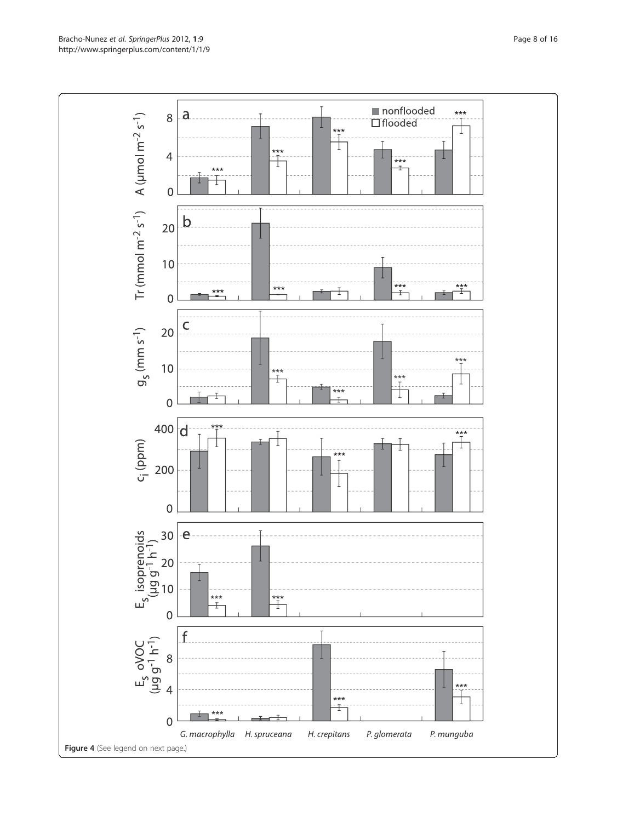![](_page_7_Figure_2.jpeg)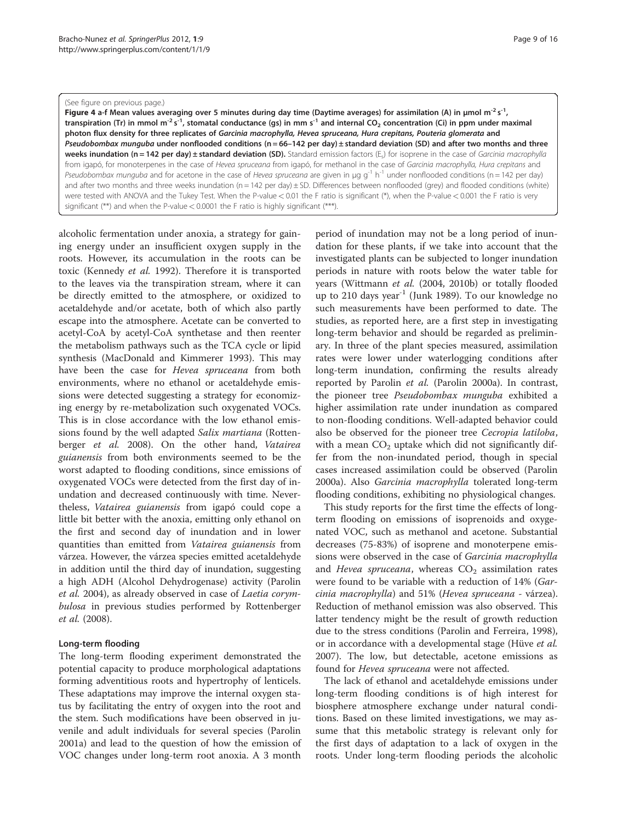## <span id="page-8-0"></span>(See figure on previous page.)

Figure 4 a-f Mean values averaging over 5 minutes during day time (Daytime averages) for assimilation (A) in µmol m<sup>-2</sup> s<sup>-1</sup>, transpiration (Tr) in mmol m $^2$  s $^1$ , stomatal conductance (gs) in mm s $^1$  and internal CO<sub>2</sub> concentration (Ci) in ppm under maximal photon flux density for three replicates of Garcinia macrophylla, Hevea spruceana, Hura crepitans, Pouteria glomerata and Pseudobombax munguba under nonflooded conditions ( $n = 66-142$  per day)  $\pm$  standard deviation (SD) and after two months and three weeks inundation (n = 142 per day)  $\pm$  standard deviation (SD). Standard emission factors (E<sub>s</sub>) for isoprene in the case of Garcinia macrophylla from igapó, for monoterpenes in the case of Hevea spruceana from igapó, for methanol in the case of Garcinia macrophylla, Hura crepitans and Pseudobombax munguba and for acetone in the case of Hevea spruceana are given in  $\mu$ g g<sup>-1</sup> h<sup>-1</sup> under nonflooded conditions (n = 142 per day) and after two months and three weeks inundation (n = 142 per day) ± SD. Differences between nonflooded (grey) and flooded conditions (white) were tested with ANOVA and the Tukey Test. When the P-value < 0.01 the F ratio is significant (\*), when the P-value < 0.001 the F ratio is very significant (\*\*) and when the P-value  $< 0.0001$  the F ratio is highly significant (\*\*\*).

alcoholic fermentation under anoxia, a strategy for gaining energy under an insufficient oxygen supply in the roots. However, its accumulation in the roots can be toxic (Kennedy et al. [1992](#page-13-0)). Therefore it is transported to the leaves via the transpiration stream, where it can be directly emitted to the atmosphere, or oxidized to acetaldehyde and/or acetate, both of which also partly escape into the atmosphere. Acetate can be converted to acetyl-CoA by acetyl-CoA synthetase and then reenter the metabolism pathways such as the TCA cycle or lipid synthesis (MacDonald and Kimmerer [1993](#page-14-0)). This may have been the case for Hevea spruceana from both environments, where no ethanol or acetaldehyde emissions were detected suggesting a strategy for economizing energy by re-metabolization such oxygenated VOCs. This is in close accordance with the low ethanol emissions found by the well adapted Salix martiana (Rottenberger et al. [2008\)](#page-14-0). On the other hand, Vatairea guianensis from both environments seemed to be the worst adapted to flooding conditions, since emissions of oxygenated VOCs were detected from the first day of inundation and decreased continuously with time. Nevertheless, Vatairea guianensis from igapó could cope a little bit better with the anoxia, emitting only ethanol on the first and second day of inundation and in lower quantities than emitted from Vatairea guianensis from várzea. However, the várzea species emitted acetaldehyde in addition until the third day of inundation, suggesting a high ADH (Alcohol Dehydrogenase) activity (Parolin et al. [2004\)](#page-14-0), as already observed in case of Laetia corymbulosa in previous studies performed by Rottenberger et al. [\(2008\)](#page-14-0).

# Long-term flooding

The long-term flooding experiment demonstrated the potential capacity to produce morphological adaptations forming adventitious roots and hypertrophy of lenticels. These adaptations may improve the internal oxygen status by facilitating the entry of oxygen into the root and the stem. Such modifications have been observed in juvenile and adult individuals for several species (Parolin [2001a\)](#page-14-0) and lead to the question of how the emission of VOC changes under long-term root anoxia. A 3 month

period of inundation may not be a long period of inundation for these plants, if we take into account that the investigated plants can be subjected to longer inundation periods in nature with roots below the water table for years (Wittmann et al. ([2004](#page-15-0), [2010b](#page-15-0)) or totally flooded up to 210 days year<sup>-1</sup> (Junk [1989\)](#page-13-0). To our knowledge no such measurements have been performed to date. The studies, as reported here, are a first step in investigating long-term behavior and should be regarded as preliminary. In three of the plant species measured, assimilation rates were lower under waterlogging conditions after long-term inundation, confirming the results already reported by Parolin et al. (Parolin [2000a\)](#page-14-0). In contrast, the pioneer tree Pseudobombax munguba exhibited a higher assimilation rate under inundation as compared to non-flooding conditions. Well-adapted behavior could also be observed for the pioneer tree Cecropia latiloba, with a mean  $CO<sub>2</sub>$  uptake which did not significantly differ from the non-inundated period, though in special cases increased assimilation could be observed (Parolin [2000a\)](#page-14-0). Also Garcinia macrophylla tolerated long-term flooding conditions, exhibiting no physiological changes.

This study reports for the first time the effects of longterm flooding on emissions of isoprenoids and oxygenated VOC, such as methanol and acetone. Substantial decreases (75-83%) of isoprene and monoterpene emissions were observed in the case of Garcinia macrophylla and Hevea spruceana, whereas  $CO<sub>2</sub>$  assimilation rates were found to be variable with a reduction of 14% (Garcinia macrophylla) and 51% (Hevea spruceana - várzea). Reduction of methanol emission was also observed. This latter tendency might be the result of growth reduction due to the stress conditions (Parolin and Ferreira, [1998](#page-14-0)), or in accordance with a developmental stage (Hüve et al. [2007](#page-13-0)). The low, but detectable, acetone emissions as found for Hevea spruceana were not affected.

The lack of ethanol and acetaldehyde emissions under long-term flooding conditions is of high interest for biosphere atmosphere exchange under natural conditions. Based on these limited investigations, we may assume that this metabolic strategy is relevant only for the first days of adaptation to a lack of oxygen in the roots. Under long-term flooding periods the alcoholic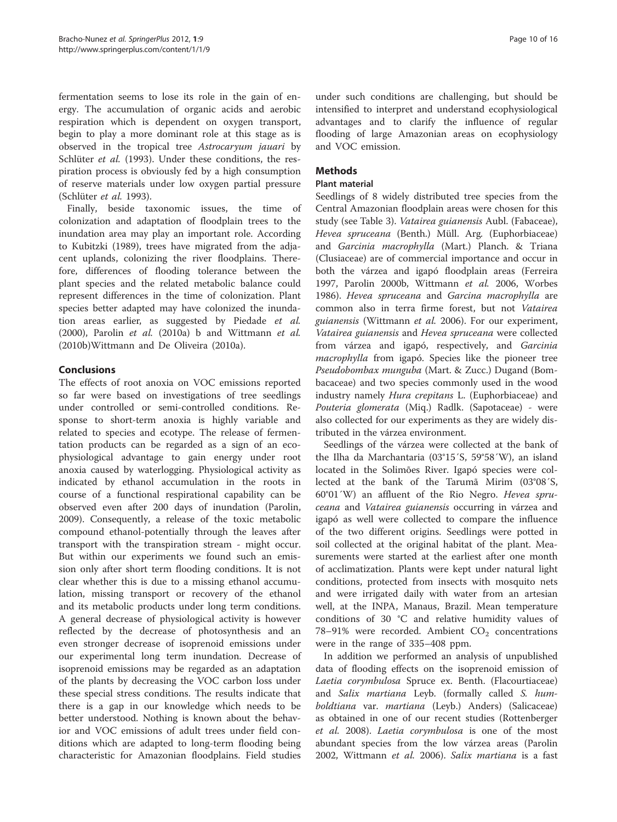fermentation seems to lose its role in the gain of energy. The accumulation of organic acids and aerobic respiration which is dependent on oxygen transport, begin to play a more dominant role at this stage as is observed in the tropical tree Astrocaryum jauari by Schlüter et al. ([1993\)](#page-14-0). Under these conditions, the respiration process is obviously fed by a high consumption of reserve materials under low oxygen partial pressure (Schlüter et al. [1993](#page-14-0)).

Finally, beside taxonomic issues, the time of colonization and adaptation of floodplain trees to the inundation area may play an important role. According to Kubitzki ([1989](#page-14-0)), trees have migrated from the adjacent uplands, colonizing the river floodplains. Therefore, differences of flooding tolerance between the plant species and the related metabolic balance could represent differences in the time of colonization. Plant species better adapted may have colonized the inundation areas earlier, as suggested by Piedade et al. ([2000](#page-14-0)), Parolin et al. [\(2010a](#page-14-0)) [b](#page-14-0) and Wittmann et al. (2010b)Wittmann and De Oliveira [\(2010a\).](#page-15-0)

# Conclusions

The effects of root anoxia on VOC emissions reported so far were based on investigations of tree seedlings under controlled or semi-controlled conditions. Response to short-term anoxia is highly variable and related to species and ecotype. The release of fermentation products can be regarded as a sign of an ecophysiological advantage to gain energy under root anoxia caused by waterlogging. Physiological activity as indicated by ethanol accumulation in the roots in course of a functional respirational capability can be observed even after 200 days of inundation (Parolin, [2009](#page-14-0)). Consequently, a release of the toxic metabolic compound ethanol-potentially through the leaves after transport with the transpiration stream - might occur. But within our experiments we found such an emission only after short term flooding conditions. It is not clear whether this is due to a missing ethanol accumulation, missing transport or recovery of the ethanol and its metabolic products under long term conditions. A general decrease of physiological activity is however reflected by the decrease of photosynthesis and an even stronger decrease of isoprenoid emissions under our experimental long term inundation. Decrease of isoprenoid emissions may be regarded as an adaptation of the plants by decreasing the VOC carbon loss under these special stress conditions. The results indicate that there is a gap in our knowledge which needs to be better understood. Nothing is known about the behavior and VOC emissions of adult trees under field conditions which are adapted to long-term flooding being characteristic for Amazonian floodplains. Field studies

under such conditions are challenging, but should be intensified to interpret and understand ecophysiological advantages and to clarify the influence of regular flooding of large Amazonian areas on ecophysiology and VOC emission.

# Methods

# Plant material

Seedlings of 8 widely distributed tree species from the Central Amazonian floodplain areas were chosen for this study (see Table [3](#page-10-0)). Vatairea guianensis Aubl. (Fabaceae), Hevea spruceana (Benth.) Müll. Arg. (Euphorbiaceae) and Garcinia macrophylla (Mart.) Planch. & Triana (Clusiaceae) are of commercial importance and occur in both the várzea and igapó floodplain areas (Ferreira [1997](#page-13-0), Parolin [2000b,](#page-14-0) Wittmann et al. [2006](#page-15-0), Worbes [1986](#page-15-0)). Hevea spruceana and Garcina macrophylla are common also in terra firme forest, but not Vatairea guianensis (Wittmann et al. [2006\)](#page-15-0). For our experiment, Vatairea guianensis and Hevea spruceana were collected from várzea and igapó, respectively, and Garcinia macrophylla from igapó. Species like the pioneer tree Pseudobombax munguba (Mart. & Zucc.) Dugand (Bombacaceae) and two species commonly used in the wood industry namely Hura crepitans L. (Euphorbiaceae) and Pouteria glomerata (Miq.) Radlk. (Sapotaceae) - were also collected for our experiments as they are widely distributed in the várzea environment.

Seedlings of the várzea were collected at the bank of the Ilha da Marchantaria (03°15´S, 59°58´W), an island located in the Solimões River. Igapó species were collected at the bank of the Tarumã Mirim (03°08´S, 60°01´W) an affluent of the Rio Negro. Hevea spruceana and Vatairea guianensis occurring in várzea and igapó as well were collected to compare the influence of the two different origins. Seedlings were potted in soil collected at the original habitat of the plant. Measurements were started at the earliest after one month of acclimatization. Plants were kept under natural light conditions, protected from insects with mosquito nets and were irrigated daily with water from an artesian well, at the INPA, Manaus, Brazil. Mean temperature conditions of 30 °C and relative humidity values of 78–91% were recorded. Ambient  $CO<sub>2</sub>$  concentrations were in the range of 335–408 ppm.

In addition we performed an analysis of unpublished data of flooding effects on the isoprenoid emission of Laetia corymbulosa Spruce ex. Benth. (Flacourtiaceae) and Salix martiana Leyb. (formally called S. humboldtiana var. martiana (Leyb.) Anders) (Salicaceae) as obtained in one of our recent studies (Rottenberger et al. [2008](#page-14-0)). Laetia corymbulosa is one of the most abundant species from the low várzea areas (Parolin [2002](#page-14-0), Wittmann et al. [2006](#page-15-0)). Salix martiana is a fast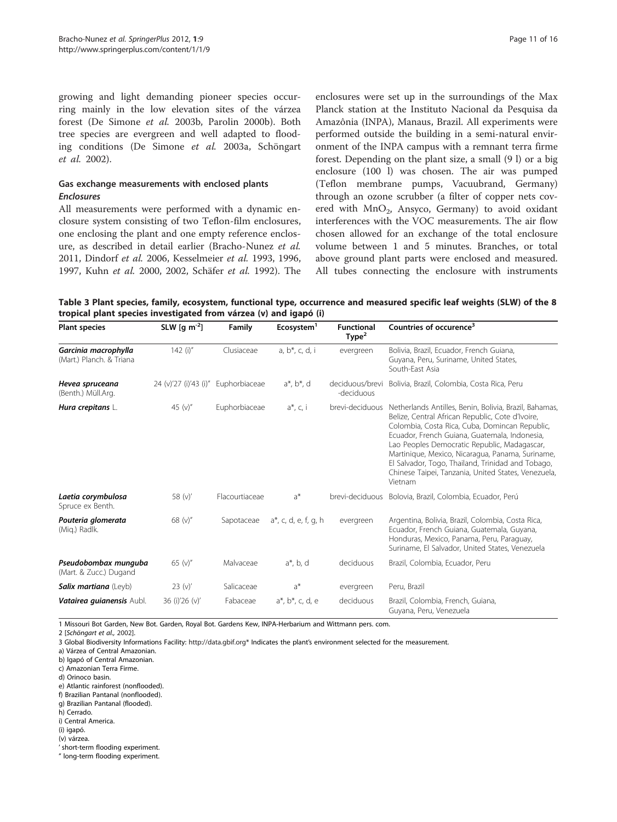<span id="page-10-0"></span>growing and light demanding pioneer species occurring mainly in the low elevation sites of the várzea forest (De Simone et al. [2003b,](#page-13-0) Parolin [2000b\)](#page-14-0). Both tree species are evergreen and well adapted to flooding conditions (De Simone et al. [2003a](#page-13-0), Schöngart et al. [2002](#page-14-0)).

## Gas exchange measurements with enclosed plants Enclosures

All measurements were performed with a dynamic enclosure system consisting of two Teflon-film enclosures, one enclosing the plant and one empty reference enclosure, as described in detail earlier (Bracho-Nunez et al. [2011](#page-13-0), Dindorf et al. [2006](#page-13-0), Kesselmeier et al. [1993](#page-13-0), [1996](#page-13-0), [1997](#page-13-0), Kuhn et al. [2000](#page-14-0), [2002,](#page-14-0) Schäfer et al. [1992](#page-14-0)). The enclosures were set up in the surroundings of the Max Planck station at the Instituto Nacional da Pesquisa da Amazônia (INPA), Manaus, Brazil. All experiments were performed outside the building in a semi-natural environment of the INPA campus with a remnant terra firme forest. Depending on the plant size, a small (9 l) or a big enclosure (100 l) was chosen. The air was pumped (Teflon membrane pumps, Vacuubrand, Germany) through an ozone scrubber (a filter of copper nets covered with MnO<sub>2</sub>, Ansyco, Germany) to avoid oxidant interferences with the VOC measurements. The air flow chosen allowed for an exchange of the total enclosure volume between 1 and 5 minutes. Branches, or total above ground plant parts were enclosed and measured. All tubes connecting the enclosure with instruments

Table 3 Plant species, family, ecosystem, functional type, occurrence and measured specific leaf weights (SLW) of the 8 tropical plant species investigated from várzea (v) and igapó (i)

| <b>Plant species</b>                             | SLW $[g m^{-2}]$      | Family         | Ecosystem <sup>'</sup> | <b>Functional</b><br>Type <sup>2</sup> | Countries of occurence <sup>3</sup>                                                                                                                                                                                                                                                                                                                                                                                                                      |
|--------------------------------------------------|-----------------------|----------------|------------------------|----------------------------------------|----------------------------------------------------------------------------------------------------------------------------------------------------------------------------------------------------------------------------------------------------------------------------------------------------------------------------------------------------------------------------------------------------------------------------------------------------------|
| Garcinia macrophylla<br>(Mart.) Planch. & Triana | 142 $(i)''$           | Clusiaceae     | a, b*, c, d, i         | evergreen                              | Bolivia, Brazil, Ecuador, French Guiana,<br>Guyana, Peru, Suriname, United States,<br>South-East Asia                                                                                                                                                                                                                                                                                                                                                    |
| Hevea spruceana<br>(Benth.) Müll.Arg.            | 24 (v)'27 (i)'43 (i)" | Euphorbiaceae  | a*, b*, d              | -deciduous                             | deciduous/brevi Bolivia, Brazil, Colombia, Costa Rica, Peru                                                                                                                                                                                                                                                                                                                                                                                              |
| Hura crepitans L.                                | 45 $(v)''$            | Euphorbiaceae  | $a^*$ , c, i           |                                        | brevi-deciduous Netherlands Antilles, Benin, Bolivia, Brazil, Bahamas,<br>Belize, Central African Republic, Cote d'Ivoire,<br>Colombia, Costa Rica, Cuba, Domincan Republic,<br>Ecuador, French Guiana, Guatemala, Indonesia,<br>Lao Peoples Democratic Republic, Madagascar,<br>Martinique, Mexico, Nicaragua, Panama, Suriname,<br>El Salvador, Togo, Thailand, Trinidad and Tobago,<br>Chinese Taipei, Tanzania, United States, Venezuela,<br>Vietnam |
| Laetia corymbulosa<br>Spruce ex Benth.           | 58 (v)'               | Flacourtiaceae | $a^*$                  | brevi-deciduous                        | Bolovia, Brazil, Colombia, Ecuador, Perú                                                                                                                                                                                                                                                                                                                                                                                                                 |
| Pouteria glomerata<br>(Miq.) Radlk.              | 68 (v)"               | Sapotaceae     | a*, c, d, e, f, g, h   | evergreen                              | Argentina, Bolivia, Brazil, Colombia, Costa Rica,<br>Ecuador, French Guiana, Guatemala, Guyana,<br>Honduras, Mexico, Panama, Peru, Paraguay,<br>Suriname, El Salvador, United States, Venezuela                                                                                                                                                                                                                                                          |
| Pseudobombax munguba<br>(Mart. & Zucc.) Dugand   | 65 $(v)''$            | Malvaceae      | $a^*$ , b, d           | deciduous                              | Brazil, Colombia, Ecuador, Peru                                                                                                                                                                                                                                                                                                                                                                                                                          |
| Salix martiana (Leyb)                            | 23 (v)'               | Salicaceae     | $a^*$                  | evergreen                              | Peru, Brazil                                                                                                                                                                                                                                                                                                                                                                                                                                             |
| Vatairea guianensis Aubl.                        | 36 (i)'26 (v)'        | Fabaceae       | a*, b*, c, d, e        | deciduous                              | Brazil, Colombia, French, Guiana,<br>Guyana, Peru, Venezuela                                                                                                                                                                                                                                                                                                                                                                                             |

1 Missouri Bot Garden, New Bot. Garden, Royal Bot. Gardens Kew, INPA-Herbarium and Wittmann pers. com.

2 [Schöngart et al., [2002](#page-14-0)].

3 Global Biodiversity Informations Facility: [http://data.gbif.org\\*](http://data.gbif.org) Indicates the plant's environment selected for the measurement.

a) Várzea of Central Amazonian.

b) Igapó of Central Amazonian.

c) Amazonian Terra Firme.

d) Orinoco basin.

e) Atlantic rainforest (nonflooded).

f) Brazilian Pantanal (nonflooded).

g) Brazilian Pantanal (flooded).

h) Cerrado.

i) Central America.

(i) igapó.

(v) várzea.

' short-term flooding experiment.

" long-term flooding experiment.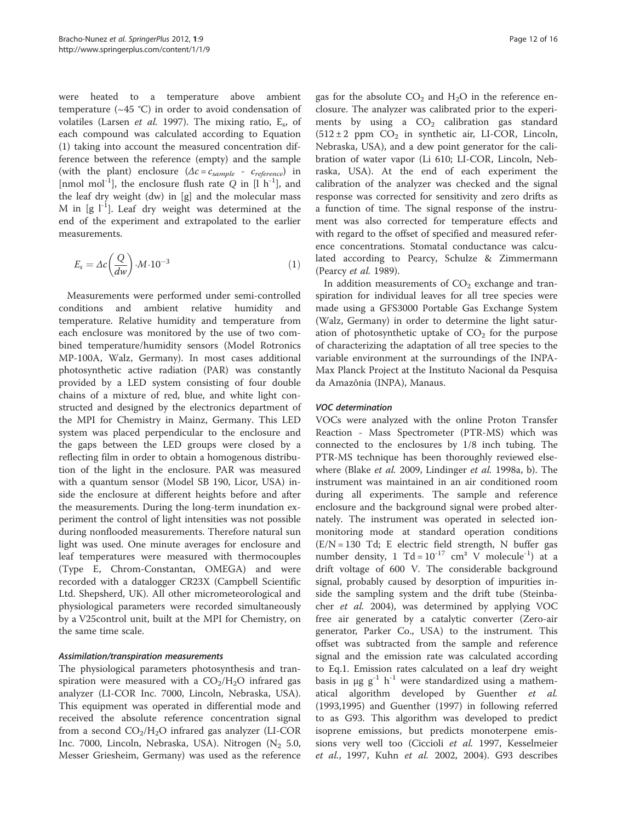were heated to a temperature above ambient temperature  $({\sim}45$  °C) in order to avoid condensation of volatiles (Larsen *et al.* [1997\)](#page-14-0). The mixing ratio,  $E_s$ , of each compound was calculated according to Equation (1) taking into account the measured concentration difference between the reference (empty) and the sample (with the plant) enclosure ( $\Delta c = c_{sample}$  -  $c_{reference}$ ) in [nmol mol<sup>-1</sup>], the enclosure flush rate Q in [l h<sup>-1</sup>], and the leaf dry weight (dw) in [g] and the molecular mass M in  $[g_1^{-1}]$ . Leaf dry weight was determined at the end of the experiment and extrapolated to the earlier measurements.

$$
E_s = \Delta c \left(\frac{Q}{dw}\right) \cdot M \cdot 10^{-3} \tag{1}
$$

Measurements were performed under semi-controlled conditions and ambient relative humidity and temperature. Relative humidity and temperature from each enclosure was monitored by the use of two combined temperature/humidity sensors (Model Rotronics MP-100A, Walz, Germany). In most cases additional photosynthetic active radiation (PAR) was constantly provided by a LED system consisting of four double chains of a mixture of red, blue, and white light constructed and designed by the electronics department of the MPI for Chemistry in Mainz, Germany. This LED system was placed perpendicular to the enclosure and the gaps between the LED groups were closed by a reflecting film in order to obtain a homogenous distribution of the light in the enclosure. PAR was measured with a quantum sensor (Model SB 190, Licor, USA) inside the enclosure at different heights before and after the measurements. During the long-term inundation experiment the control of light intensities was not possible during nonflooded measurements. Therefore natural sun light was used. One minute averages for enclosure and leaf temperatures were measured with thermocouples (Type E, Chrom-Constantan, OMEGA) and were recorded with a datalogger CR23X (Campbell Scientific Ltd. Shepsherd, UK). All other micrometeorological and physiological parameters were recorded simultaneously by a V25control unit, built at the MPI for Chemistry, on the same time scale.

# Assimilation/transpiration measurements

The physiological parameters photosynthesis and transpiration were measured with a  $CO<sub>2</sub>/H<sub>2</sub>O$  infrared gas analyzer (LI-COR Inc. 7000, Lincoln, Nebraska, USA). This equipment was operated in differential mode and received the absolute reference concentration signal from a second  $CO<sub>2</sub>/H<sub>2</sub>O$  infrared gas analyzer (LI-COR Inc. 7000, Lincoln, Nebraska, USA). Nitrogen  $(N_2, 5.0, 5.0)$ Messer Griesheim, Germany) was used as the reference

gas for the absolute  $CO<sub>2</sub>$  and  $H<sub>2</sub>O$  in the reference enclosure. The analyzer was calibrated prior to the experiments by using a  $CO<sub>2</sub>$  calibration gas standard  $(512 \pm 2$  ppm  $CO<sub>2</sub>$  in synthetic air, LI-COR, Lincoln, Nebraska, USA), and a dew point generator for the calibration of water vapor (Li 610; LI-COR, Lincoln, Nebraska, USA). At the end of each experiment the calibration of the analyzer was checked and the signal response was corrected for sensitivity and zero drifts as a function of time. The signal response of the instrument was also corrected for temperature effects and with regard to the offset of specified and measured reference concentrations. Stomatal conductance was calculated according to Pearcy, Schulze & Zimmermann (Pearcy et al. [1989\)](#page-14-0).

In addition measurements of  $CO<sub>2</sub>$  exchange and transpiration for individual leaves for all tree species were made using a GFS3000 Portable Gas Exchange System (Walz, Germany) in order to determine the light saturation of photosynthetic uptake of  $CO<sub>2</sub>$  for the purpose of characterizing the adaptation of all tree species to the variable environment at the surroundings of the INPA-Max Planck Project at the Instituto Nacional da Pesquisa da Amazônia (INPA), Manaus.

## VOC determination

VOCs were analyzed with the online Proton Transfer Reaction - Mass Spectrometer (PTR-MS) which was connected to the enclosures by 1/8 inch tubing. The PTR-MS technique has been thoroughly reviewed elsewhere (Blake et al. [2009,](#page-13-0) Lindinger et al. [1998a, b\)](#page-14-0). The instrument was maintained in an air conditioned room during all experiments. The sample and reference enclosure and the background signal were probed alternately. The instrument was operated in selected ionmonitoring mode at standard operation conditions  $(E/N = 130$  Td; E electric field strength, N buffer gas number density, 1  $Td = 10^{-17}$  cm<sup>2</sup> V molecule<sup>-1</sup>) at a drift voltage of 600 V. The considerable background signal, probably caused by desorption of impurities inside the sampling system and the drift tube (Steinbacher et al. [2004](#page-15-0)), was determined by applying VOC free air generated by a catalytic converter (Zero-air generator, Parker Co., USA) to the instrument. This offset was subtracted from the sample and reference signal and the emission rate was calculated according to Eq.1. Emission rates calculated on a leaf dry weight basis in  $\mu$ g g<sup>-1</sup> h<sup>-1</sup> were standardized using a mathematical algorithm developed by Guenther et al. ([1993,1995](#page-13-0)) and Guenther ([1997](#page-13-0)) in following referred to as G93. This algorithm was developed to predict isoprene emissions, but predicts monoterpene emissions very well too (Ciccioli et al. [1997](#page-13-0), Kesselmeier et al., [1997](#page-13-0), Kuhn et al. [2002, 2004](#page-14-0)). G93 describes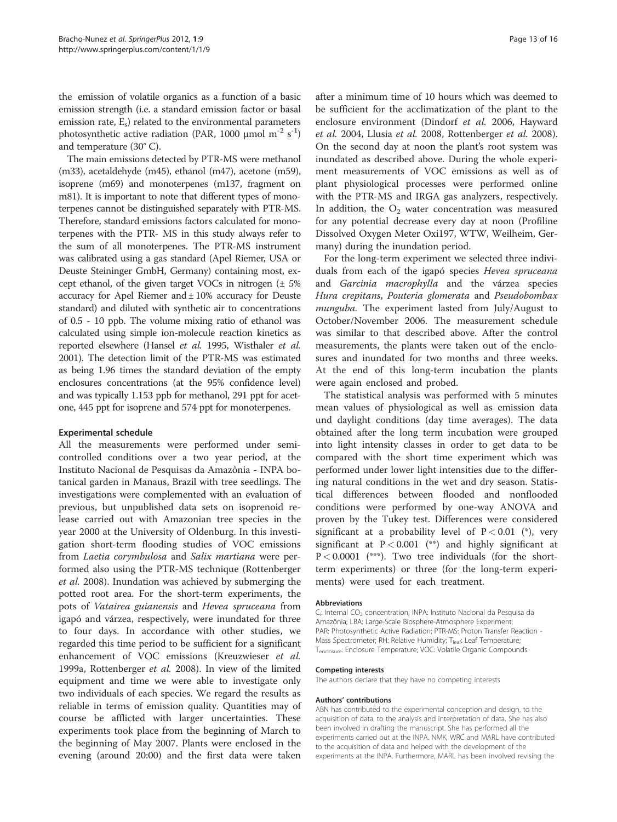the emission of volatile organics as a function of a basic emission strength (i.e. a standard emission factor or basal emission rate,  $E_s$ ) related to the environmental parameters photosynthetic active radiation (PAR, 1000  $\mu$ mol m<sup>-2</sup> s<sup>-1</sup>) and temperature (30° C).

The main emissions detected by PTR-MS were methanol (m33), acetaldehyde (m45), ethanol (m47), acetone (m59), isoprene (m69) and monoterpenes (m137, fragment on m81). It is important to note that different types of monoterpenes cannot be distinguished separately with PTR-MS. Therefore, standard emissions factors calculated for monoterpenes with the PTR- MS in this study always refer to the sum of all monoterpenes. The PTR-MS instrument was calibrated using a gas standard (Apel Riemer, USA or Deuste Steininger GmbH, Germany) containing most, except ethanol, of the given target VOCs in nitrogen  $(± 5\%$ accuracy for Apel Riemer and  $\pm 10\%$  accuracy for Deuste standard) and diluted with synthetic air to concentrations of 0.5 - 10 ppb. The volume mixing ratio of ethanol was calculated using simple ion-molecule reaction kinetics as reported elsewhere (Hansel et al. [1995,](#page-13-0) Wisthaler et al. [2001\)](#page-15-0). The detection limit of the PTR-MS was estimated as being 1.96 times the standard deviation of the empty enclosures concentrations (at the 95% confidence level) and was typically 1.153 ppb for methanol, 291 ppt for acetone, 445 ppt for isoprene and 574 ppt for monoterpenes.

## Experimental schedule

All the measurements were performed under semicontrolled conditions over a two year period, at the Instituto Nacional de Pesquisas da Amazônia - INPA botanical garden in Manaus, Brazil with tree seedlings. The investigations were complemented with an evaluation of previous, but unpublished data sets on isoprenoid release carried out with Amazonian tree species in the year 2000 at the University of Oldenburg. In this investigation short-term flooding studies of VOC emissions from Laetia corymbulosa and Salix martiana were performed also using the PTR-MS technique (Rottenberger et al. [2008](#page-14-0)). Inundation was achieved by submerging the potted root area. For the short-term experiments, the pots of Vatairea guianensis and Hevea spruceana from igapó and várzea, respectively, were inundated for three to four days. In accordance with other studies, we regarded this time period to be sufficient for a significant enhancement of VOC emissions (Kreuzwieser et al. [1999a,](#page-14-0) Rottenberger et al. [2008](#page-14-0)). In view of the limited equipment and time we were able to investigate only two individuals of each species. We regard the results as reliable in terms of emission quality. Quantities may of course be afflicted with larger uncertainties. These experiments took place from the beginning of March to the beginning of May 2007. Plants were enclosed in the evening (around 20:00) and the first data were taken

after a minimum time of 10 hours which was deemed to be sufficient for the acclimatization of the plant to the enclosure environment (Dindorf et al. [2006,](#page-13-0) Hayward et al. [2004,](#page-13-0) Llusia et al. [2008,](#page-14-0) Rottenberger et al. [2008](#page-14-0)). On the second day at noon the plant's root system was inundated as described above. During the whole experiment measurements of VOC emissions as well as of plant physiological processes were performed online with the PTR-MS and IRGA gas analyzers, respectively. In addition, the  $O_2$  water concentration was measured for any potential decrease every day at noon (Profiline Dissolved Oxygen Meter Oxi197, WTW, Weilheim, Germany) during the inundation period.

For the long-term experiment we selected three individuals from each of the igapó species Hevea spruceana and Garcinia macrophylla and the várzea species Hura crepitans, Pouteria glomerata and Pseudobombax munguba. The experiment lasted from July/August to October/November 2006. The measurement schedule was similar to that described above. After the control measurements, the plants were taken out of the enclosures and inundated for two months and three weeks. At the end of this long-term incubation the plants were again enclosed and probed.

The statistical analysis was performed with 5 minutes mean values of physiological as well as emission data und daylight conditions (day time averages). The data obtained after the long term incubation were grouped into light intensity classes in order to get data to be compared with the short time experiment which was performed under lower light intensities due to the differing natural conditions in the wet and dry season. Statistical differences between flooded and nonflooded conditions were performed by one-way ANOVA and proven by the Tukey test. Differences were considered significant at a probability level of  $P < 0.01$  (\*), very significant at  $P < 0.001$  (\*\*) and highly significant at  $P < 0.0001$  (\*\*\*). Two tree individuals (for the shortterm experiments) or three (for the long-term experiments) were used for each treatment.

#### Abbreviations

Ci : Internal CO2 concentration; INPA: Instituto Nacional da Pesquisa da Amazônia; LBA: Large-Scale Biosphere-Atmosphere Experiment; PAR: Photosynthetic Active Radiation; PTR-MS: Proton Transfer Reaction - Mass Spectrometer; RH: Relative Humidity; T<sub>leaf</sub>: Leaf Temperature; Tenclosure: Enclosure Temperature; VOC: Volatile Organic Compounds.

### Competing interests

The authors declare that they have no competing interests

#### Authors' contributions

ABN has contributed to the experimental conception and design, to the acquisition of data, to the analysis and interpretation of data. She has also been involved in drafting the manuscript. She has performed all the experiments carried out at the INPA. NMK, WRC and MARL have contributed to the acquisition of data and helped with the development of the experiments at the INPA. Furthermore, MARL has been involved revising the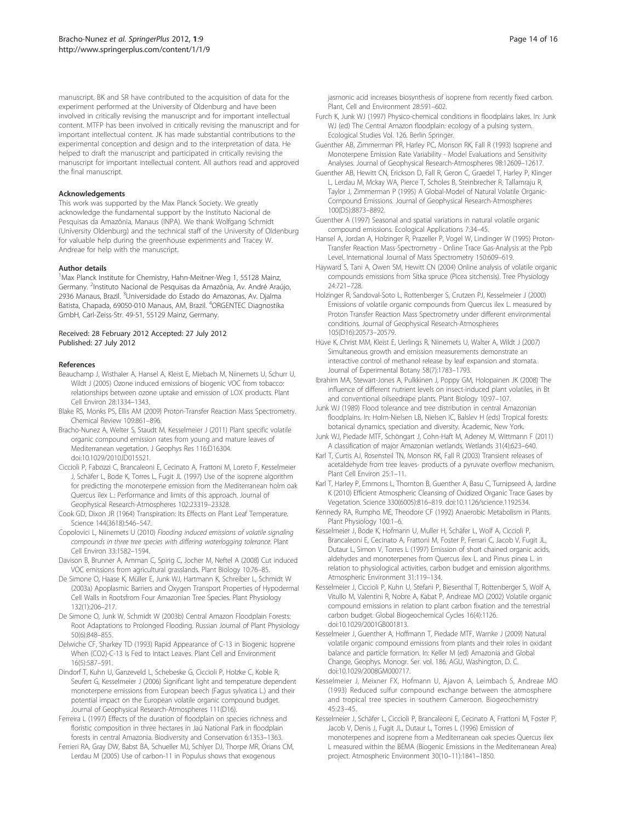<span id="page-13-0"></span>manuscript. BK and SR have contributed to the acquisition of data for the experiment performed at the University of Oldenburg and have been involved in critically revising the manuscript and for important intellectual content. MTFP has been involved in critically revising the manuscript and for important intellectual content. JK has made substantial contributions to the experimental conception and design and to the interpretation of data. He helped to draft the manuscript and participated in critically revising the manuscript for important intellectual content. All authors read and approved the final manuscript.

## Acknowledgements

This work was supported by the Max Planck Society. We greatly acknowledge the fundamental support by the Instituto Nacional de Pesquisas da Amazônia, Manaus (INPA). We thank Wolfgang Schmidt (University Oldenburg) and the technical staff of the University of Oldenburg for valuable help during the greenhouse experiments and Tracey W. Andreae for help with the manuscript.

#### Author details

<sup>1</sup>Max Planck Institute for Chemistry, Hahn-Meitner-Weg 1, 55128 Mainz, Germany. <sup>2</sup>Instituto Nacional de Pesquisas da Amazônia, Av. André Araújo, 2936 Manaus, Brazil. <sup>3</sup>Universidade do Estado do Amazonas, Av. Djalma Batista, Chapada, 69050-010 Manaus, AM, Brazil. <sup>4</sup>ORGENTEC Diagnostika GmbH, Carl-Zeiss-Str. 49-51, 55129 Mainz, Germany.

### Received: 28 February 2012 Accepted: 27 July 2012 Published: 27 July 2012

### References

- Beauchamp J, Wisthaler A, Hansel A, Kleist E, Miebach M, Niinemets U, Schurr U, Wildt J (2005) Ozone induced emissions of biogenic VOC from tobacco: relationships between ozone uptake and emission of LOX products. Plant Cell Environ 28:1334–1343.
- Blake RS, Monks PS, Ellis AM (2009) Proton-Transfer Reaction Mass Spectrometry. Chemical Review 109:861–896.
- Bracho-Nunez A, Welter S, Staudt M, Kesselmeier J (2011) Plant specific volatile organic compound emission rates from young and mature leaves of Mediterranean vegetation. J Geophys Res 116:D16304. doi[:10.1029/2010JD015521](http://dx.doi.org/10.1029/2010JD015521).
- Ciccioli P, Fabozzi C, Brancaleoni E, Cecinato A, Frattoni M, Loreto F, Kesselmeier J, Schäfer L, Bode K, Torres L, Fugit JL (1997) Use of the isoprene algorithm for predicting the monoterpene emission from the Mediterranean holm oak Quercus ilex L.: Performance and limits of this approach. Journal of Geophysical Research-Atmospheres 102:23319–23328.
- Cook GD, Dixon JR (1964) Transpiration: Its Effects on Plant Leaf Temperature. Science 144(3618):546–547.
- Copolovici L, Niinemets U (2010) Flooding induced emissions of volatile signaling compounds in three tree species with differing waterlogging tolerance. Plant Cell Environ 33:1582–1594.
- Davison B, Brunner A, Amman C, Spirig C, Jocher M, Neftel A (2008) Cut induced VOC emissions from agricultural grasslands. Plant Biology 10:76–85.
- De Simone O, Haase K, Müller E, Junk WJ, Hartmann K, Schreiber L, Schmidt W (2003a) Apoplasmic Barriers and Oxygen Transport Properties of Hypodermal Cell Walls in Rootsfrom Four Amazonian Tree Species. Plant Physiology 132(1):206–217.
- De Simone O, Junk W, Schmidt W (2003b) Central Amazon Floodplain Forests: Root Adaptations to Prolonged Flooding. Russian Journal of Plant Physiology 50(6):848–855.
- Delwiche CF, Sharkey TD (1993) Rapid Appearance of C-13 in Biogenic Isoprene When (CO2)-C-13 Is Fed to Intact Leaves. Plant Cell and Environment 16(5):587–591.
- Dindorf T, Kuhn U, Ganzeveld L, Schebeske G, Ciccioli P, Holzke C, Koble R, Seufert G, Kesselmeier J (2006) Significant light and temperature dependent monoterpene emissions from European beech (Fagus sylvatica L.) and their potential impact on the European volatile organic compound budget. Journal of Geophysical Research-Atmospheres 111(D16).
- Ferreira L (1997) Effects of the duration of floodplain on species richness and floristic composition in three hectares in Jaú National Park in floodplain forests in central Amazonia. Biodiversity and Conservation 6:1353–1363.
- Ferrieri RA, Gray DW, Babst BA, Schueller MJ, Schlyer DJ, Thorpe MR, Orians CM, Lerdau M (2005) Use of carbon-11 in Populus shows that exogenous

jasmonic acid increases biosynthesis of isoprene from recently fixed carbon. Plant, Cell and Environment 28:591–602.

- Furch K, Junk WJ (1997) Physico-chemical conditions in floodplains lakes. In: Junk WJ (ed) The Central Amazon floodplain: ecology of a pulsing system. Ecological Studies Vol. 126. Berlin Springer.
- Guenther AB, Zimmerman PR, Harley PC, Monson RK, Fall R (1993) Isoprene and Monoterpene Emission Rate Variability - Model Evaluations and Sensitivity Analyses. Journal of Geophysical Research-Atmospheres 98:12609–12617.
- Guenther AB, Hewitt CN, Erickson D, Fall R, Geron C, Graedel T, Harley P, Klinger L, Lerdau M, Mckay WA, Pierce T, Scholes B, Steinbrecher R, Tallamraju R, Taylor J, Zimmerman P (1995) A Global-Model of Natural Volatile Organic-Compound Emissions. Journal of Geophysical Research-Atmospheres 100(D5):8873–8892.
- Guenther A (1997) Seasonal and spatial variations in natural volatile organic compound emissions. Ecological Applications 7:34–45.
- Hansel A, Jordan A, Holzinger R, Prazeller P, Vogel W, Lindinger W (1995) Proton-Transfer Reaction Mass-Spectrometry - Online Trace Gas-Analysis at the Ppb Level. International Journal of Mass Spectrometry 150:609–619.
- Hayward S, Tani A, Owen SM, Hewitt CN (2004) Online analysis of volatile organic compounds emissions from Sitka spruce (Picea sitchensis). Tree Physiology 24:721–728.
- Holzinger R, Sandoval-Soto L, Rottenberger S, Crutzen PJ, Kesselmeier J (2000) Emissions of volatile organic compounds from Quercus ilex L. measured by Proton Transfer Reaction Mass Spectrometry under different environmental conditions. Journal of Geophysical Research-Atmospheres 105(D16):20573–20579.
- Hüve K, Christ MM, Kleist E, Uerlings R, Niinemets U, Walter A, Wildt J (2007) Simultaneous growth and emission measurements demonstrate an interactive control of methanol release by leaf expansion and stomata. Journal of Experimental Botany 58(7):1783–1793.
- Ibrahim MA, Stewart-Jones A, Pulkkinen J, Poppy GM, Holopainen JK (2008) The influence of different nutrient levels on insect-induced plant volatiles, in Bt and conventional oilseedrape plants. Plant Biology 10:97–107.
- Junk WJ (1989) Flood tolerance and tree distribution in central Amazonian floodplains. In: Holm-Nielsen LB, Nielsen IC, Balslev H (eds) Tropical forests: botanical dynamics, speciation and diversity. Academic, New York.
- Junk WJ, Piedade MTF, Schöngart J, Cohn-Haft M, Adeney M, Wittmann F (2011) A classification of major Amazonian wetlands. Wetlands 31(4):623–640.
- Karl T, Curtis AJ, Rosensteil TN, Monson RK, Fall R (2003) Transient releases of acetaldehyde from tree leaves- products of a pyruvate overflow mechanism. Plant Cell Environ 25:1–11.
- Karl T, Harley P, Emmons L, Thornton B, Guenther A, Basu C, Turnipseed A, Jardine K (2010) Efficient Atmospheric Cleansing of Oxidized Organic Trace Gases by Vegetation. Science 330(6005):816–819. doi[:10.1126/science.1192534](http://dx.doi.org/10.1126/science.1192534).
- Kennedy RA, Rumpho ME, Theodore CF (1992) Anaerobic Metabolism in Plants. Plant Physiology 100:1–6.
- Kesselmeier J, Bode K, Hofmann U, Muller H, Schäfer L, Wolf A, Ciccioli P, Brancaleoni E, Cecinato A, Frattoni M, Foster P, Ferrari C, Jacob V, Fugit JL, Dutaur L, Simon V, Torres L (1997) Emission of short chained organic acids, aldehydes and monoterpenes from Quercus ilex L. and Pinus pinea L. in relation to physiological activities, carbon budget and emission algorithms. Atmospheric Environment 31:119–134.
- Kesselmeier J, Ciccioli P, Kuhn U, Stefani P, Biesenthal T, Rottenberger S, Wolf A, Vitullo M, Valentini R, Nobre A, Kabat P, Andreae MO (2002) Volatile organic compound emissions in relation to plant carbon fixation and the terrestrial carbon budget. Global Biogeochemical Cycles 16(4):1126. doi[:10.1029/2001GB001813](http://dx.doi.org/10.1029/2001GB001813).
- Kesselmeier J, Guenther A, Hoffmann T, Piedade MTF, Warnke J (2009) Natural volatile organic compound emissions from plants and their roles in oxidant balance and particle formation. In: Keller M (ed) Amazonia and Global Change, Geophys. Monogr. Ser. vol. 186. AGU, Washington, D. C. doi[:10.1029/2008GM000717](http://dx.doi.org/10.1029/2008GM000717).
- Kesselmeier J, Meixner FX, Hofmann U, Ajavon A, Leimbach S, Andreae MO (1993) Reduced sulfur compound exchange between the atmosphere and tropical tree species in southern Cameroon. Biogeochemistry 45:23–45.
- Kesselmeier J, Schäfer L, Ciccioli P, Brancaleoni E, Cecinato A, Frattoni M, Foster P, Jacob V, Denis J, Fugit JL, Dutaur L, Torres L (1996) Emission of monoterpenes and isoprene from a Mediterranean oak species Quercus ilex L measured within the BEMA (Biogenic Emissions in the Mediterranean Area) project. Atmospheric Environment 30(10–11):1841–1850.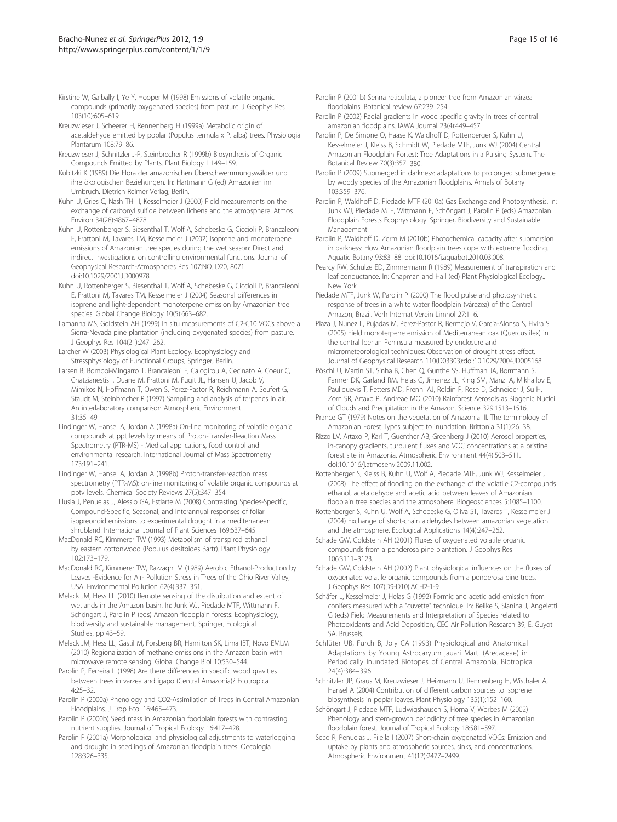- <span id="page-14-0"></span>Kirstine W, Galbally I, Ye Y, Hooper M (1998) Emissions of volatile organic compounds (primarily oxygenated species) from pasture. J Geophys Res 103(10):605–619.
- Kreuzwieser J, Scheerer H, Rennenberg H (1999a) Metabolic origin of acetaldehyde emitted by poplar (Populus termula x P. alba) trees. Physiologia Plantarum 108:79–86.
- Kreuzwieser J, Schnitzler J-P, Steinbrecher R (1999b) Biosynthesis of Organic Compounds Emitted by Plants. Plant Biology 1:149–159.
- Kubitzki K (1989) Die Flora der amazonischen Überschwemmungswälder und ihre ökologischen Beziehungen. In: Hartmann G (ed) Amazonien im Umbruch. Dietrich Reimer Verlag, Berlin.
- Kuhn U, Gries C, Nash TH III, Kesselmeier J (2000) Field measurements on the exchange of carbonyl sulfide between lichens and the atmosphere. Atmos Environ 34(28):4867–4878.
- Kuhn U, Rottenberger S, Biesenthal T, Wolf A, Schebeske G, Ciccioli P, Brancaleoni E, Frattoni M, Tavares TM, Kesselmeier J (2002) Isoprene and monoterpene emissions of Amazonian tree species during the wet season: Direct and indirect investigations on controlling environmental functions. Journal of Geophysical Research-Atmospheres Res 107:NO. D20, 8071. doi[:10.1029/2001JD000978](http://dx.doi.org/10.1029/2001JD000978).
- Kuhn U, Rottenberger S, Biesenthal T, Wolf A, Schebeske G, Ciccioli P, Brancaleoni E, Frattoni M, Tavares TM, Kesselmeier J (2004) Seasonal differences in isoprene and light-dependent monoterpene emission by Amazonian tree species. Global Change Biology 10(5):663–682.
- Lamanna MS, Goldstein AH (1999) In situ measurements of C2-C10 VOCs above a Sierra-Nevada pine plantation (including oxygenated species) from pasture. J Geophys Res 104(21):247–262.
- Larcher W (2003) Physiological Plant Ecology. Ecophysiology and Stressphysiology of Functional Groups, Springer, Berlin.
- Larsen B, Bomboi-Mingarro T, Brancaleoni E, Calogirou A, Cecinato A, Coeur C, Chatzianestis I, Duane M, Frattoni M, Fugit JL, Hansen U, Jacob V, Mimikos N, Hoffmann T, Owen S, Perez-Pastor R, Reichmann A, Seufert G, Staudt M, Steinbrecher R (1997) Sampling and analysis of terpenes in air. An interlaboratory comparison Atmospheric Environment 31:35–49.
- Lindinger W, Hansel A, Jordan A (1998a) On-line monitoring of volatile organic compounds at ppt levels by means of Proton-Transfer-Reaction Mass Spectrometry (PTR-MS) - Medical applications, food control and environmental research. International Journal of Mass Spectrometry 173:191–241.
- Lindinger W, Hansel A, Jordan A (1998b) Proton-transfer-reaction mass spectrometry (PTR-MS): on-line monitoring of volatile organic compounds at pptv levels. Chemical Society Reviews 27(5):347–354.
- Llusia J, Penuelas J, Alessio GA, Estiarte M (2008) Contrasting Species-Specific, Compound-Specific, Seasonal, and Interannual responses of foliar isopreonoid emissions to experimental drought in a mediterranean shrubland. International Journal of Plant Sciences 169:637–645.
- MacDonald RC, Kimmerer TW (1993) Metabolism of transpired ethanol by eastern cottonwood (Populus desltoides Bartr). Plant Physiology 102:173–179.
- MacDonald RC, Kimmerer TW, Razzaghi M (1989) Aerobic Ethanol-Production by Leaves -Evidence for Air- Pollution Stress in Trees of the Ohio River Valley, USA. Environmental Pollution 62(4):337–351.
- Melack JM, Hess LL (2010) Remote sensing of the distribution and extent of wetlands in the Amazon basin. In: Junk WJ, Piedade MTF, Wittmann F, Schöngart J, Parolin P (eds) Amazon floodplain forests: Ecophysiology, biodiversity and sustainable management. Springer, Ecological Studies, pp 43–59.
- Melack JM, Hess LL, Gastil M, Forsberg BR, Hamilton SK, Lima IBT, Novo EMLM (2010) Regionalization of methane emissions in the Amazon basin with microwave remote sensing. Global Change Biol 10:530–544.
- Parolin P, Ferreira L (1998) Are there differences in specific wood gravities between trees in varzea and igapo (Central Amazonia)? Ecotropica 4:25–32.
- Parolin P (2000a) Phenology and CO2-Assimilation of Trees in Central Amazonian Floodplains. J Trop Ecol 16:465–473.
- Parolin P (2000b) Seed mass in Amazonian foodplain forests with contrasting nutrient supplies. Journal of Tropical Ecology 16:417–428.
- Parolin P (2001a) Morphological and physiological adjustments to waterlogging and drought in seedlings of Amazonian floodplain trees. Oecologia 128:326–335.
- Parolin P (2001b) Senna reticulata, a pioneer tree from Amazonian várzea floodplains. Botanical review 67:239–254.
- Parolin P (2002) Radial gradients in wood specific gravity in trees of central amazonian floodplains. IAWA Journal 23(4):449–457.
- Parolin P, De Simone O, Haase K, Waldhoff D, Rottenberger S, Kuhn U, Kesselmeier J, Kleiss B, Schmidt W, Piedade MTF, Junk WJ (2004) Central Amazonian Floodplain Fortest: Tree Adaptations in a Pulsing System. The Botanical Review 70(3):357–380.
- Parolin P (2009) Submerged in darkness: adaptations to prolonged submergence by woody species of the Amazonian floodplains. Annals of Botany 103:359–376.
- Parolin P, Waldhoff D, Piedade MTF (2010a) Gas Exchange and Photosynthesis. In: Junk WJ, Piedade MTF, Wittmann F, Schöngart J, Parolin P (eds) Amazonian Floodplain Forests Ecophysiology. Springer, Biodiversity and Sustainable Management.
- Parolin P, Waldhoff D, Zerm M (2010b) Photochemical capacity after submersion in darkness: How Amazonian floodplain trees cope with extreme flooding. Aquatic Botany 93:83–88. doi[:10.1016/j.aquabot.2010.03.008.](http://dx.doi.org/10.1016/j.aquabot.2010.03.008)
- Pearcy RW, Schulze ED, Zimmermann R (1989) Measurement of transpiration and leaf conductance. In: Chapman and Hall (ed) Plant Physiological Ecology., New York.
- Piedade MTF, Junk W, Parolin P (2000) The flood pulse and photosynthetic response of trees in a white water floodplain (várezea) of the Central Amazon, Brazil. Verh Internat Verein Limnol 27:1–6.
- Plaza J, Nunez L, Pujadas M, Perez-Pastor R, Bermejo V, Garcia-Alonso S, Elvira S (2005) Field monoterpene emission of Mediterranean oak (Quercus ilex) in the central Iberian Peninsula measured by enclosure and micrometeorological techniques: Observation of drought stress effect. Journal of Geophysical Research 110(D03303):doi:10.1029/2004JD005168.
- Pöschl U, Martin ST, Sinha B, Chen Q, Gunthe SS, Huffman JA, Borrmann S, Farmer DK, Garland RM, Helas G, Jimenez JL, King SM, Manzi A, Mikhailov E, Pauliquevis T, Petters MD, Prenni AJ, Roldin P, Rose D, Schneider J, Su H, Zorn SR, Artaxo P, Andreae MO (2010) Rainforest Aerosols as Biogenic Nuclei of Clouds and Precipitation in the Amazon. Science 329:1513–1516.
- Prance GT (1979) Notes on the vegetation of Amazonia III. The terminology of Amazonian Forest Types subject to inundation. Brittonia 31(1):26–38.
- Rizzo LV, Artaxo P, Karl T, Guenther AB, Greenberg J (2010) Aerosol properties, in-canopy gradients, turbulent fluxes and VOC concentrations at a pristine forest site in Amazonia. Atmospheric Environment 44(4):503–511. doi[:10.1016/j.atmosenv.2009.11.002.](http://dx.doi.org/10.1016/j.atmosenv.2009.11.002)
- Rottenberger S, Kleiss B, Kuhn U, Wolf A, Piedade MTF, Junk WJ, Kesselmeier J (2008) The effect of flooding on the exchange of the volatile C2-compounds ethanol, acetaldehyde and acetic acid between leaves of Amazonian flooplain tree species and the atmosphere. Biogeosciences 5:1085–1100.
- Rottenberger S, Kuhn U, Wolf A, Schebeske G, Oliva ST, Tavares T, Kesselmeier J (2004) Exchange of short-chain aldehydes between amazonian vegetation and the atmosphere. Ecological Applications 14(4):247–262.
- Schade GW, Goldstein AH (2001) Fluxes of oxygenated volatile organic compounds from a ponderosa pine plantation. J Geophys Res 106:3111–3123.
- Schade GW, Goldstein AH (2002) Plant physiological influences on the fluxes of oxygenated volatile organic compounds from a ponderosa pine trees. J Geophys Res 107(D9-D10):ACH2-1-9.
- Schäfer L, Kesselmeier J, Helas G (1992) Formic and acetic acid emission from conifers measured with a "cuvette" technique. In: Beilke S, Slanina J, Angeletti G (eds) Field Measurements and Interpretation of Species related to Photooxidants and Acid Deposition, CEC Air Pollution Research 39, E. Guyot SA, Brussels.
- Schlüter UB, Furch B, Joly CA (1993) Physiological and Anatomical Adaptations by Young Astrocaryum jauari Mart. (Arecaceae) in Periodically Inundated Biotopes of Central Amazonia. Biotropica 24(4):384–396.
- Schnitzler JP, Graus M, Kreuzwieser J, Heizmann U, Rennenberg H, Wisthaler A, Hansel A (2004) Contribution of different carbon sources to isoprene biosynthesis in poplar leaves. Plant Physiology 135(1):152–160.
- Schöngart J, Piedade MTF, Ludwigshausen S, Horna V, Worbes M (2002) Phenology and stem-growth periodicity of tree species in Amazonian floodplain forest. Journal of Tropical Ecology 18:581–597.
- Seco R, Penuelas J, Filella I (2007) Short-chain oxygenated VOCs: Emission and uptake by plants and atmospheric sources, sinks, and concentrations. Atmospheric Environment 41(12):2477–2499.